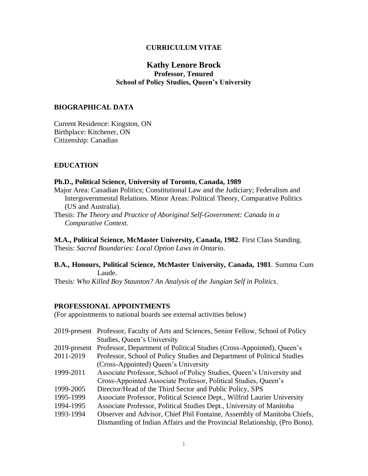## **CURRICULUM VITAE**

# **Kathy Lenore Brock Professor, Tenured School of Policy Studies, Queen's University**

## **BIOGRAPHICAL DATA**

Current Residence: Kingston, ON Birthplace: Kitchener, ON Citizenship: Canadian

## **EDUCATION**

#### **Ph.D., Political Science, University of Toronto, Canada, 1989**

- Major Area: Canadian Politics; Constitutional Law and the Judiciary; Federalism and Intergovernmental Relations. Minor Areas: Political Theory, Comparative Politics (US and Australia).
- Thesis: *The Theory and Practice of Aboriginal Self-Government: Canada in a Comparative Context*.

**M.A., Political Science, McMaster University, Canada, 1982**. First Class Standing.

Thesis: *Sacred Boundaries: Local Option Laws in Ontario*.

## **B.A., Honours, Political Science, McMaster University, Canada, 1981**. Summa Cum Laude.

Thesis: *Who Killed Boy Staunton? An Analysis of the Jungian Self in Politics*.

#### **PROFESSIONAL APPOINTMENTS**

(For appointments to national boards see external activities below)

|              | 2019-present Professor, Faculty of Arts and Sciences, Senior Fellow, School of Policy |
|--------------|---------------------------------------------------------------------------------------|
|              | Studies, Queen's University                                                           |
| 2019-present | Professor, Department of Political Studies (Cross-Appointed), Queen's                 |
| 2011-2019    | Professor, School of Policy Studies and Department of Political Studies               |
|              | (Cross-Appointed) Queen's University                                                  |
| 1999-2011    | Associate Professor, School of Policy Studies, Queen's University and                 |
|              | Cross-Appointed Associate Professor, Political Studies, Queen's                       |
| 1999-2005    | Director/Head of the Third Sector and Public Policy, SPS                              |
| 1995-1999    | Associate Professor, Political Science Dept., Wilfrid Laurier University              |
| 1994-1995    | Associate Professor, Political Studies Dept., University of Manitoba                  |
| 1993-1994    | Observer and Advisor, Chief Phil Fontaine, Assembly of Manitoba Chiefs,               |
|              | Dismantling of Indian Affairs and the Provincial Relationship, (Pro Bono).            |
|              |                                                                                       |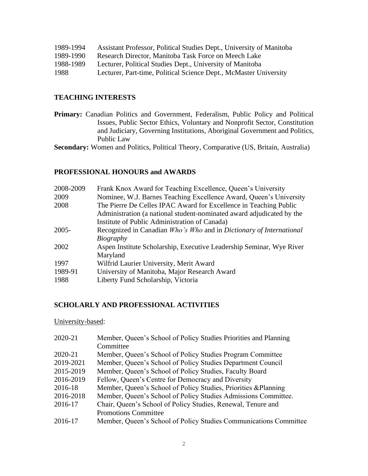| 1989-1994 | Assistant Professor, Political Studies Dept., University of Manitoba |
|-----------|----------------------------------------------------------------------|
| 1989-1990 | Research Director, Manitoba Task Force on Meech Lake                 |
| 1988-1989 | Lecturer, Political Studies Dept., University of Manitoba            |
| 1988      | Lecturer, Part-time, Political Science Dept., McMaster University    |

## **TEACHING INTERESTS**

**Primary:** Canadian Politics and Government, Federalism, Public Policy and Political Issues, Public Sector Ethics, Voluntary and Nonprofit Sector, Constitution and Judiciary, Governing Institutions, Aboriginal Government and Politics, Public Law

**Secondary:** Women and Politics, Political Theory, Comparative (US, Britain, Australia)

## **PROFESSIONAL HONOURS and AWARDS**

| 2008-2009 | Frank Knox Award for Teaching Excellence, Queen's University          |
|-----------|-----------------------------------------------------------------------|
| 2009      | Nominee, W.J. Barnes Teaching Excellence Award, Queen's University    |
| 2008      | The Pierre De Celles IPAC Award for Excellence in Teaching Public     |
|           | Administration (a national student-nominated award adjudicated by the |
|           | Institute of Public Administration of Canada)                         |
| $2005 -$  | Recognized in Canadian Who's Who and in Dictionary of International   |
|           | Biography                                                             |
| 2002      | Aspen Institute Scholarship, Executive Leadership Seminar, Wye River  |
|           | Maryland                                                              |
| 1997      | Wilfrid Laurier University, Merit Award                               |
| 1989-91   | University of Manitoba, Major Research Award                          |
| 1988      | Liberty Fund Scholarship, Victoria                                    |

#### **SCHOLARLY AND PROFESSIONAL ACTIVITIES**

University-based:

| 2020-21   | Member, Queen's School of Policy Studies Priorities and Planning  |
|-----------|-------------------------------------------------------------------|
|           | Committee                                                         |
| 2020-21   | Member, Queen's School of Policy Studies Program Committee        |
| 2019-2021 | Member, Queen's School of Policy Studies Department Council       |
| 2015-2019 | Member, Queen's School of Policy Studies, Faculty Board           |
| 2016-2019 | Fellow, Queen's Centre for Democracy and Diversity                |
| 2016-18   | Member, Queen's School of Policy Studies, Priorities & Planning   |
| 2016-2018 | Member, Queen's School of Policy Studies Admissions Committee.    |
| 2016-17   | Chair, Queen's School of Policy Studies, Renewal, Tenure and      |
|           | <b>Promotions Committee</b>                                       |
| 2016-17   | Member, Queen's School of Policy Studies Communications Committee |
|           |                                                                   |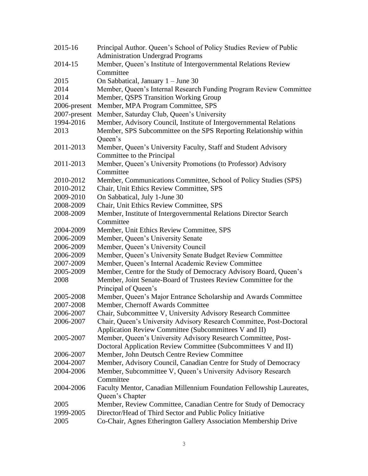| 2015-16      | Principal Author. Queen's School of Policy Studies Review of Public  |
|--------------|----------------------------------------------------------------------|
|              | <b>Administration Undergrad Programs</b>                             |
| 2014-15      | Member, Queen's Institute of Intergovernmental Relations Review      |
|              | Committee                                                            |
| 2015         | On Sabbatical, January $1 -$ June 30                                 |
| 2014         | Member, Queen's Internal Research Funding Program Review Committee   |
| 2014         | Member, QSPS Transition Working Group                                |
| 2006-present | Member, MPA Program Committee, SPS                                   |
| 2007-present | Member, Saturday Club, Queen's University                            |
| 1994-2016    | Member, Advisory Council, Institute of Intergovernmental Relations   |
| 2013         | Member, SPS Subcommittee on the SPS Reporting Relationship within    |
|              | Queen's                                                              |
| 2011-2013    | Member, Queen's University Faculty, Staff and Student Advisory       |
|              | Committee to the Principal                                           |
| 2011-2013    | Member, Queen's University Promotions (to Professor) Advisory        |
|              | Committee                                                            |
| 2010-2012    | Member, Communications Committee, School of Policy Studies (SPS)     |
| 2010-2012    | Chair, Unit Ethics Review Committee, SPS                             |
| 2009-2010    | On Sabbatical, July 1-June 30                                        |
| 2008-2009    | Chair, Unit Ethics Review Committee, SPS                             |
| 2008-2009    | Member, Institute of Intergovernmental Relations Director Search     |
|              | Committee                                                            |
| 2004-2009    | Member, Unit Ethics Review Committee, SPS                            |
| 2006-2009    | Member, Queen's University Senate                                    |
| 2006-2009    | Member, Queen's University Council                                   |
| 2006-2009    | Member, Queen's University Senate Budget Review Committee            |
| 2007-2009    | Member, Queen's Internal Academic Review Committee                   |
| 2005-2009    | Member, Centre for the Study of Democracy Advisory Board, Queen's    |
| 2008         | Member, Joint Senate-Board of Trustees Review Committee for the      |
|              | Principal of Queen's                                                 |
| 2005-2008    | Member, Queen's Major Entrance Scholarship and Awards Committee      |
| 2007-2008    | Member, Chernoff Awards Committee                                    |
| 2006-2007    | Chair, Subcommittee V, University Advisory Research Committee        |
| 2006-2007    | Chair, Queen's University Advisory Research Committee, Post-Doctoral |
|              | Application Review Committee (Subcommittees V and II)                |
| 2005-2007    | Member, Queen's University Advisory Research Committee, Post-        |
|              | Doctoral Application Review Committee (Subcommittees V and II)       |
| 2006-2007    | Member, John Deutsch Centre Review Committee                         |
| 2004-2007    | Member, Advisory Council, Canadian Centre for Study of Democracy     |
| 2004-2006    | Member, Subcommittee V, Queen's University Advisory Research         |
|              | Committee                                                            |
| 2004-2006    | Faculty Mentor, Canadian Millennium Foundation Fellowship Laureates, |
|              | Queen's Chapter                                                      |
| 2005         | Member, Review Committee, Canadian Centre for Study of Democracy     |
| 1999-2005    | Director/Head of Third Sector and Public Policy Initiative           |
| 2005         | Co-Chair, Agnes Etherington Gallery Association Membership Drive     |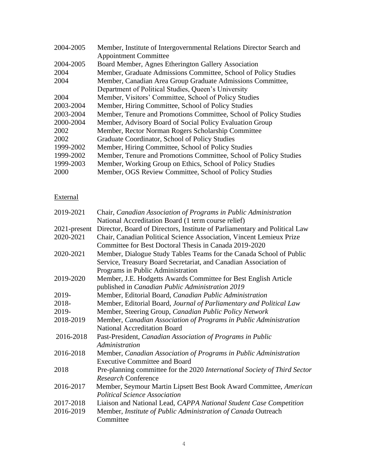| 2004-2005 | Member, Institute of Intergovernmental Relations Director Search and |
|-----------|----------------------------------------------------------------------|
|           | <b>Appointment Committee</b>                                         |
| 2004-2005 | Board Member, Agnes Etherington Gallery Association                  |
| 2004      | Member, Graduate Admissions Committee, School of Policy Studies      |
| 2004      | Member, Canadian Area Group Graduate Admissions Committee,           |
|           | Department of Political Studies, Queen's University                  |
| 2004      | Member, Visitors' Committee, School of Policy Studies                |
| 2003-2004 | Member, Hiring Committee, School of Policy Studies                   |
| 2003-2004 | Member, Tenure and Promotions Committee, School of Policy Studies    |
| 2000-2004 | Member, Advisory Board of Social Policy Evaluation Group             |
| 2002      | Member, Rector Norman Rogers Scholarship Committee                   |
| 2002      | Graduate Coordinator, School of Policy Studies                       |
| 1999-2002 | Member, Hiring Committee, School of Policy Studies                   |
| 1999-2002 | Member, Tenure and Promotions Committee, School of Policy Studies    |
| 1999-2003 | Member, Working Group on Ethics, School of Policy Studies            |
| 2000      | Member, OGS Review Committee, School of Policy Studies               |

# External

| 2019-2021    | Chair, Canadian Association of Programs in Public Administration           |
|--------------|----------------------------------------------------------------------------|
|              | National Accreditation Board (1 term course relief)                        |
| 2021-present | Director, Board of Directors, Institute of Parliamentary and Political Law |
| 2020-2021    | Chair, Canadian Political Science Association, Vincent Lemieux Prize       |
|              | Committee for Best Doctoral Thesis in Canada 2019-2020                     |
| 2020-2021    | Member, Dialogue Study Tables Teams for the Canada School of Public        |
|              | Service, Treasury Board Secretariat, and Canadian Association of           |
|              | Programs in Public Administration                                          |
| 2019-2020    | Member, J.E. Hodgetts Awards Committee for Best English Article            |
|              | published in Canadian Public Administration 2019                           |
| 2019-        | Member, Editorial Board, Canadian Public Administration                    |
| 2018-        | Member, Editorial Board, Journal of Parliamentary and Political Law        |
| 2019-        | Member, Steering Group, Canadian Public Policy Network                     |
| 2018-2019    | Member, Canadian Association of Programs in Public Administration          |
|              | <b>National Accreditation Board</b>                                        |
| 2016-2018    | Past-President, Canadian Association of Programs in Public                 |
|              | Administration                                                             |
| 2016-2018    | Member, Canadian Association of Programs in Public Administration          |
|              | <b>Executive Committee and Board</b>                                       |
| 2018         | Pre-planning committee for the 2020 International Society of Third Sector  |
|              | Research Conference                                                        |
| 2016-2017    | Member, Seymour Martin Lipsett Best Book Award Committee, American         |
|              | <b>Political Science Association</b>                                       |
| 2017-2018    | Liaison and National Lead, CAPPA National Student Case Competition         |
| 2016-2019    | Member, Institute of Public Administration of Canada Outreach              |
|              | Committee                                                                  |
|              |                                                                            |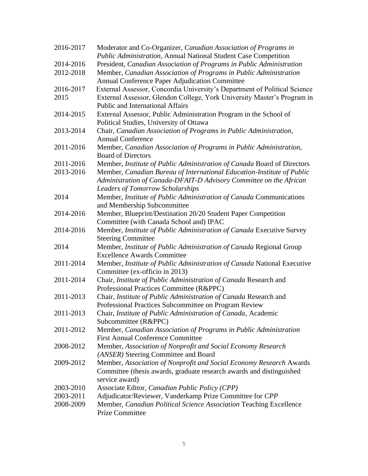| 2016-2017 | Moderator and Co-Organizer, Canadian Association of Programs in                                                    |
|-----------|--------------------------------------------------------------------------------------------------------------------|
|           | Public Administration, Annual National Student Case Competition                                                    |
| 2014-2016 | President, Canadian Association of Programs in Public Administration                                               |
| 2012-2018 | Member, Canadian Association of Programs in Public Administration                                                  |
|           | Annual Conference Paper Adjudication Committee                                                                     |
| 2016-2017 | External Assessor, Concordia University's Department of Political Science                                          |
| 2015      | External Assessor, Glendon College, York University Master's Program in<br><b>Public and International Affairs</b> |
| 2014-2015 | External Assessor, Public Administration Program in the School of                                                  |
|           | Political Studies, University of Ottawa                                                                            |
| 2013-2014 | Chair, Canadian Association of Programs in Public Administration,<br><b>Annual Conference</b>                      |
| 2011-2016 | Member, Canadian Association of Programs in Public Administration,                                                 |
|           | <b>Board of Directors</b>                                                                                          |
| 2011-2016 | Member, Institute of Public Administration of Canada Board of Directors                                            |
| 2013-2016 | Member, Canadian Bureau of International Education-Institute of Public                                             |
|           | Administration of Canada-DFAIT-D Advisory Committee on the African                                                 |
|           | <b>Leaders of Tomorrow Scholarships</b>                                                                            |
| 2014      | Member, Institute of Public Administration of Canada Communications                                                |
|           | and Membership Subcommittee                                                                                        |
| 2014-2016 | Member, Blueprint/Destination 20/20 Student Paper Competition                                                      |
|           | Committee (with Canada School and) IPAC                                                                            |
| 2014-2016 | Member, Institute of Public Administration of Canada Executive Survey                                              |
|           | <b>Steering Committee</b>                                                                                          |
| 2014      | Member, Institute of Public Administration of Canada Regional Group                                                |
|           | <b>Excellence Awards Committee</b>                                                                                 |
| 2011-2014 | Member, Institute of Public Administration of Canada National Executive                                            |
|           | Committee (ex-officio in 2013)                                                                                     |
| 2011-2014 | Chair, Institute of Public Administration of Canada Research and                                                   |
|           | Professional Practices Committee (R&PPC)                                                                           |
| 2011-2013 | Chair, Institute of Public Administration of Canada Research and                                                   |
|           | Professional Practices Subcommittee on Program Review                                                              |
| 2011-2013 | Chair, Institute of Public Administration of Canada, Academic                                                      |
|           | Subcommittee (R&PPC)                                                                                               |
| 2011-2012 | Member, Canadian Association of Programs in Public Administration                                                  |
|           | <b>First Annual Conference Committee</b>                                                                           |
| 2008-2012 | Member, Association of Nonprofit and Social Economy Research                                                       |
|           | (ANSER) Steering Committee and Board                                                                               |
| 2009-2012 | Member, Association of Nonprofit and Social Economy Research Awards                                                |
|           | Committee (thesis awards, graduate research awards and distinguished                                               |
|           | service award)                                                                                                     |
| 2003-2010 | Associate Editor, Canadian Public Policy (CPP)                                                                     |
| 2003-2011 | Adjudicator/Reviewer, Vanderkamp Prize Committee for CPP                                                           |
| 2008-2009 | Member, Canadian Political Science Association Teaching Excellence                                                 |
|           | <b>Prize Committee</b>                                                                                             |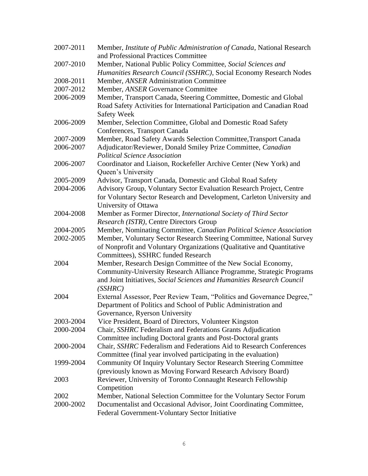| 2007-2011 | Member, Institute of Public Administration of Canada, National Research<br>and Professional Practices Committee                                                                                                           |
|-----------|---------------------------------------------------------------------------------------------------------------------------------------------------------------------------------------------------------------------------|
| 2007-2010 | Member, National Public Policy Committee, Social Sciences and                                                                                                                                                             |
|           | Humanities Research Council (SSHRC), Social Economy Research Nodes                                                                                                                                                        |
| 2008-2011 | Member, ANSER Administration Committee                                                                                                                                                                                    |
| 2007-2012 | Member, ANSER Governance Committee                                                                                                                                                                                        |
| 2006-2009 | Member, Transport Canada, Steering Committee, Domestic and Global<br>Road Safety Activities for International Participation and Canadian Road<br><b>Safety Week</b>                                                       |
| 2006-2009 | Member, Selection Committee, Global and Domestic Road Safety<br>Conferences, Transport Canada                                                                                                                             |
| 2007-2009 | Member, Road Safety Awards Selection Committee, Transport Canada                                                                                                                                                          |
| 2006-2007 | Adjudicator/Reviewer, Donald Smiley Prize Committee, Canadian<br><b>Political Science Association</b>                                                                                                                     |
| 2006-2007 | Coordinator and Liaison, Rockefeller Archive Center (New York) and<br>Queen's University                                                                                                                                  |
| 2005-2009 | Advisor, Transport Canada, Domestic and Global Road Safety                                                                                                                                                                |
| 2004-2006 | Advisory Group, Voluntary Sector Evaluation Research Project, Centre                                                                                                                                                      |
|           | for Voluntary Sector Research and Development, Carleton University and<br>University of Ottawa                                                                                                                            |
| 2004-2008 | Member as Former Director, International Society of Third Sector                                                                                                                                                          |
|           | Research (ISTR), Centre Directors Group                                                                                                                                                                                   |
| 2004-2005 | Member, Nominating Committee, Canadian Political Science Association                                                                                                                                                      |
| 2002-2005 | Member, Voluntary Sector Research Steering Committee, National Survey<br>of Nonprofit and Voluntary Organizations (Qualitative and Quantitative<br>Committees), SSHRC funded Research                                     |
| 2004      | Member, Research Design Committee of the New Social Economy,<br>Community-University Research Alliance Programme, Strategic Programs<br>and Joint Initiatives, Social Sciences and Humanities Research Council<br>(SSHRC) |
| 2004      | External Assessor, Peer Review Team, "Politics and Governance Degree,"<br>Department of Politics and School of Public Administration and                                                                                  |
|           | Governance, Ryerson University                                                                                                                                                                                            |
| 2003-2004 | Vice President, Board of Directors, Volunteer Kingston                                                                                                                                                                    |
| 2000-2004 | Chair, SSHRC Federalism and Federations Grants Adjudication<br>Committee including Doctoral grants and Post-Doctoral grants                                                                                               |
| 2000-2004 | Chair, SSHRC Federalism and Federations Aid to Research Conferences                                                                                                                                                       |
|           | Committee (final year involved participating in the evaluation)                                                                                                                                                           |
| 1999-2004 | Community Of Inquiry Voluntary Sector Research Steering Committee                                                                                                                                                         |
|           | (previously known as Moving Forward Research Advisory Board)                                                                                                                                                              |
| 2003      | Reviewer, University of Toronto Connaught Research Fellowship                                                                                                                                                             |
|           | Competition                                                                                                                                                                                                               |
| 2002      | Member, National Selection Committee for the Voluntary Sector Forum                                                                                                                                                       |
| 2000-2002 | Documentalist and Occasional Advisor, Joint Coordinating Committee,<br>Federal Government-Voluntary Sector Initiative                                                                                                     |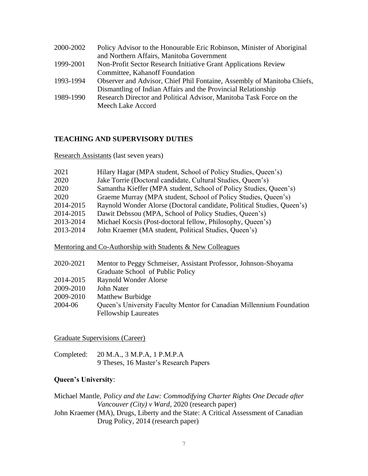| 2000-2002 | Policy Advisor to the Honourable Eric Robinson, Minister of Aboriginal  |
|-----------|-------------------------------------------------------------------------|
|           | and Northern Affairs, Manitoba Government                               |
| 1999-2001 | Non-Profit Sector Research Initiative Grant Applications Review         |
|           | Committee, Kahanoff Foundation                                          |
| 1993-1994 | Observer and Advisor, Chief Phil Fontaine, Assembly of Manitoba Chiefs, |
|           | Dismantling of Indian Affairs and the Provincial Relationship           |
| 1989-1990 | Research Director and Political Advisor, Manitoba Task Force on the     |
|           | Meech Lake Accord                                                       |

## **TEACHING AND SUPERVISORY DUTIES**

Research Assistants (last seven years)

| 2021      | Hilary Hagar (MPA student, School of Policy Studies, Queen's)          |
|-----------|------------------------------------------------------------------------|
| 2020      | Jake Torrie (Doctoral candidate, Cultural Studies, Queen's)            |
| 2020      | Samantha Kieffer (MPA student, School of Policy Studies, Queen's)      |
| 2020      | Graeme Murray (MPA student, School of Policy Studies, Queen's)         |
| 2014-2015 | Raynold Wonder Alorse (Doctoral candidate, Political Studies, Queen's) |
| 2014-2015 | Dawit Debssou (MPA, School of Policy Studies, Queen's)                 |
| 2013-2014 | Michael Kocsis (Post-doctoral fellow, Philosophy, Queen's)             |
| 2013-2014 | John Kraemer (MA student, Political Studies, Queen's)                  |

Mentoring and Co-Authorship with Students & New Colleagues

| 2020-2021 | Mentor to Peggy Schmeiser, Assistant Professor, Johnson-Shoyama      |
|-----------|----------------------------------------------------------------------|
|           | Graduate School of Public Policy                                     |
| 2014-2015 | <b>Raynold Wonder Alorse</b>                                         |
| 2009-2010 | John Nater                                                           |
| 2009-2010 | Matthew Burbidge                                                     |
| 2004-06   | Queen's University Faculty Mentor for Canadian Millennium Foundation |
|           | <b>Fellowship Laureates</b>                                          |

Graduate Supervisions (Career)

| Completed: 20 M.A., 3 M.P.A, 1 P.M.P.A |
|----------------------------------------|
| 9 Theses, 16 Master's Research Papers  |

## **Queen's University**:

Michael Mantle, *Policy and the Law: Commodifying Charter Rights One Decade after Vancouver (City) v Ward*, 2020 (research paper) John Kraemer (MA), Drugs, Liberty and the State: A Critical Assessment of Canadian

Drug Policy, 2014 (research paper)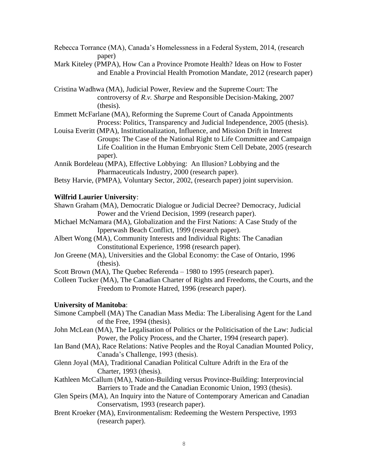- Rebecca Torrance (MA), Canada's Homelessness in a Federal System, 2014, (research paper)
- Mark Kiteley (PMPA), How Can a Province Promote Health? Ideas on How to Foster and Enable a Provincial Health Promotion Mandate, 2012 (research paper)

Cristina Wadhwa (MA), Judicial Power, Review and the Supreme Court: The controversy of *R.v. Sharpe* and Responsible Decision-Making, 2007 (thesis).

Emmett McFarlane (MA), Reforming the Supreme Court of Canada Appointments Process: Politics, Transparency and Judicial Independence, 2005 (thesis).

Louisa Everitt (MPA), Institutionalization, Influence, and Mission Drift in Interest Groups: The Case of the National Right to Life Committee and Campaign Life Coalition in the Human Embryonic Stem Cell Debate, 2005 (research paper).

Annik Bordeleau (MPA), Effective Lobbying: An Illusion? Lobbying and the Pharmaceuticals Industry, 2000 (research paper).

Betsy Harvie, (PMPA), Voluntary Sector, 2002, (research paper) joint supervision.

#### **Wilfrid Laurier University**:

Shawn Graham (MA), Democratic Dialogue or Judicial Decree? Democracy, Judicial Power and the Vriend Decision, 1999 (research paper).

- Michael McNamara (MA), Globalization and the First Nations: A Case Study of the Ipperwash Beach Conflict, 1999 (research paper).
- Albert Wong (MA), Community Interests and Individual Rights: The Canadian Constitutional Experience, 1998 (research paper).
- Jon Greene (MA), Universities and the Global Economy: the Case of Ontario, 1996 (thesis).

Scott Brown (MA), The Quebec Referenda – 1980 to 1995 (research paper).

Colleen Tucker (MA), The Canadian Charter of Rights and Freedoms, the Courts, and the Freedom to Promote Hatred, 1996 (research paper).

## **University of Manitoba**:

- Simone Campbell (MA) The Canadian Mass Media: The Liberalising Agent for the Land of the Free, 1994 (thesis).
- John McLean (MA), The Legalisation of Politics or the Politicisation of the Law: Judicial Power, the Policy Process, and the Charter, 1994 (research paper).
- Ian Band (MA), Race Relations: Native Peoples and the Royal Canadian Mounted Policy, Canada's Challenge, 1993 (thesis).
- Glenn Joyal (MA), Traditional Canadian Political Culture Adrift in the Era of the Charter, 1993 (thesis).
- Kathleen McCallum (MA), Nation-Building versus Province-Building: Interprovincial Barriers to Trade and the Canadian Economic Union, 1993 (thesis).
- Glen Speirs (MA), An Inquiry into the Nature of Contemporary American and Canadian Conservatism, 1993 (research paper).
- Brent Kroeker (MA), Environmentalism: Redeeming the Western Perspective, 1993 (research paper).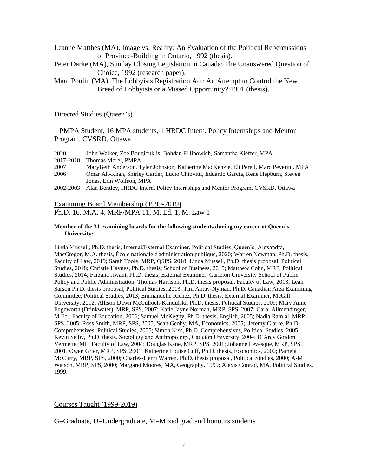Leanne Matthes (MA), Image vs. Reality: An Evaluation of the Political Repercussions of Province-Building in Ontario, 1992 (thesis).

Peter Darke (MA), Sunday Closing Legislation in Canada: The Unanswered Question of Choice, 1992 (research paper).

Marc Poulin (MA), The Lobbyists Registration Act: An Attempt to Control the New Breed of Lobbyists or a Missed Opportunity? 1991 (thesis).

#### Directed Studies (Queen's)

1 PMPA Student, 16 MPA students, 1 HRDC Intern, Policy Internships and Mentor Program, CVSRD, Ottawa

| 2020      | John Walker, Zoe Bougiouklis, Bohdan Fillipowich, Samantha Kieffer, MPA                |
|-----------|----------------------------------------------------------------------------------------|
| 2017-2018 | Thomas Morel, PMPA                                                                     |
| 2007      | MaryBeth Anderson, Tyler Johnston, Katherine MacKenzie, Eli Perell, Marc Peverini, MPA |
| 2006      | Omar Ali-Khan, Shirley Carder, Lucio Chiovitti, Eduardo Garcia, René Hepburn, Steven   |
|           | Jones, Erin Wolfson, MPA                                                               |
| 2002-2003 | Alan Bentley, HRDC Intern, Policy Internships and Mentor Program, CVSRD, Ottawa        |

#### Examining Board Membership (1999-2019)

Ph.D. 16, M.A. 4, MRP/MPA 11, M. Ed. 1, M. Law 1

#### **Member of the 31 examining boards for the following students during my career at Queen's University:**

Linda Mussell, Ph.D. thesis, Internal/External Examiner, Political Studies, Queen's; Alexandra, MacGregor, M.A. thesis, École nationale d'administration publique, 2020; Warren Newman, Ph.D. thesis, Faculty of Law, 2019; Sarah Toole, MRP, QSPS, 2018; Linda Mussell, Ph.D. thesis proposal, Political Studies, 2018; Christie Haynes, Ph.D. thesis, School of Business, 2015; Matthew Cohn, MRP, Political Studies, 2014; Farzana Jiwani, Ph.D. thesis, External Examiner, Carleton University School of Public Policy and Public Administration; Thomas Harrison, Ph.D. thesis proposal, Faculty of Law, 2013; Leah Sarson Ph.D. thesis proposal, Political Studies, 2013; Tim Abray-Nyman, Ph.D. Canadian Area Examining Committee, Political Studies, 2013; Emmanuelle Richez, Ph.D. thesis, External Examiner, McGill University, 2012; Allison Dawn McCulloch-Kandulski, Ph.D. thesis, Political Studies, 2009; Mary Anne Edgeworth (Drinkwater), MRP, SPS, 2007; Katie Jayne Norman, MRP, SPS, 2007; Carol Allmendinger, M.Ed., Faculty of Education, 2006; Samuel McKegny, Ph.D. thesis, English, 2005; Nadia Ramlal, MRP, SPS, 2005; Ross Smith, MRP, SPS, 2005; Sean Geoby, MA, Economics, 2005; Jeremy Clarke, Ph.D. Comprehensives, Political Studies, 2005; Simon Kiss, Ph.D. Comprehensives, Political Studies, 2005; Kevin Selby, Ph.D. thesis, Sociology and Anthropology, Carleton University, 2004; D'Arcy Gordon Vermette, ML, Faculty of Law, 2004; Douglas Kane, MRP, SPS, 2001; Johanne Levesque, MRP, SPS, 2001; Owen Grier, MRP, SPS, 2001; Katherine Louise Cuff, Ph.D. thesis, Economics, 2000; Pamela McCurry, MRP, SPS, 2000; Charles-Henri Warren, Ph.D. thesis proposal, Political Studies, 2000; A-M Watson, MRP, SPS, 2000; Margaret Moores, MA, Geography, 1999; Alexis Conrad, MA, Political Studies, 1999.

#### Courses Taught (1999-2019)

G=Graduate, U=Undergraduate, M=Mixed grad and honours students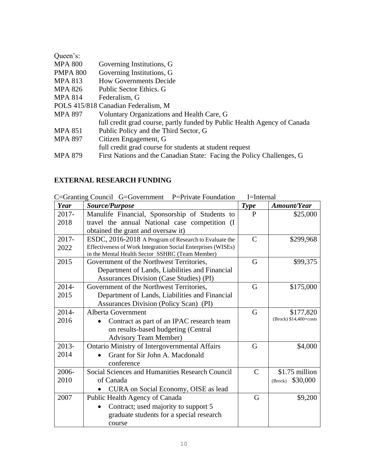| Queen's:        |                                                                          |
|-----------------|--------------------------------------------------------------------------|
| <b>MPA 800</b>  | Governing Institutions, G                                                |
| <b>PMPA 800</b> | Governing Institutions, G                                                |
| <b>MPA 813</b>  | <b>How Governments Decide</b>                                            |
| MPA 826         | Public Sector Ethics. G                                                  |
| <b>MPA 814</b>  | Federalism, G                                                            |
|                 | POLS 415/818 Canadian Federalism, M                                      |
| <b>MPA 897</b>  | Voluntary Organizations and Health Care, G                               |
|                 | full credit grad course, partly funded by Public Health Agency of Canada |
| <b>MPA 851</b>  | Public Policy and the Third Sector, G                                    |
| MPA 897         | Citizen Engagement, G                                                    |
|                 | full credit grad course for students at student request                  |
| <b>MPA 879</b>  | First Nations and the Canadian State: Facing the Policy Challenges, G    |

# **EXTERNAL RESEARCH FUNDING**

C=Granting Council G=Government P=Private Foundation I=Internal

| Year     | <i>Source/Purpose</i>                                                                                           | <b>Type</b>   | <b>Amount/Year</b>     |
|----------|-----------------------------------------------------------------------------------------------------------------|---------------|------------------------|
| $2017 -$ | Manulife Financial, Sponsorship of Students to                                                                  | $\mathbf{P}$  | \$25,000               |
| 2018     | travel the annual National case competition (I                                                                  |               |                        |
|          | obtained the grant and oversaw it)                                                                              |               |                        |
| 2017-    | ESDC, 2016-2018 A Program of Research to Evaluate the                                                           | $\mathcal{C}$ | \$299,968              |
| 2022     | Effectiveness of Work Integration Social Enterprises (WISEs)<br>in the Mental Health Sector SSHRC (Team Member) |               |                        |
| 2015     | Government of the Northwest Territories,                                                                        | G             | \$99,375               |
|          | Department of Lands, Liabilities and Financial                                                                  |               |                        |
|          | Assurances Division (Case Studies) (PI)                                                                         |               |                        |
| 2014-    | Government of the Northwest Territories,                                                                        | G             | \$175,000              |
| 2015     | Department of Lands, Liabilities and Financial                                                                  |               |                        |
|          | Assurances Division (Policy Scan) (PI)                                                                          |               |                        |
| 2014-    | Alberta Government                                                                                              | G             | \$177,820              |
| 2016     | Contract as part of an IPAC research team                                                                       |               | (Brock) \$14,400+costs |
|          | on results-based budgeting (Central                                                                             |               |                        |
|          | <b>Advisory Team Member)</b>                                                                                    |               |                        |
| 2013-    | <b>Ontario Ministry of Intergovernmental Affairs</b>                                                            | G             | \$4,000                |
| 2014     | Grant for Sir John A. Macdonald                                                                                 |               |                        |
|          | conference                                                                                                      |               |                        |
| 2006-    | Social Sciences and Humanities Research Council                                                                 | $\mathcal{C}$ | \$1.75 million         |
| 2010     | of Canada                                                                                                       |               | \$30,000<br>(Brock)    |
|          | CURA on Social Economy, OISE as lead                                                                            |               |                        |
| 2007     | Public Health Agency of Canada                                                                                  | G             | \$9,200                |
|          | Contract; used majority to support 5                                                                            |               |                        |
|          | graduate students for a special research                                                                        |               |                        |
|          | course                                                                                                          |               |                        |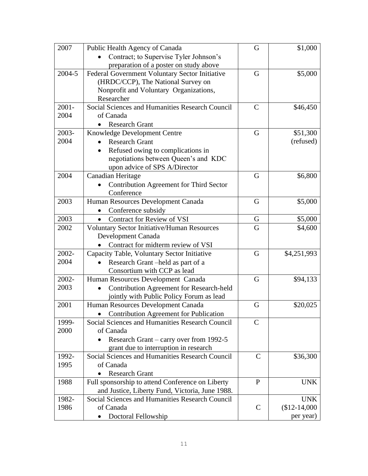| 2007     | Public Health Agency of Canada                     | G             | \$1,000      |
|----------|----------------------------------------------------|---------------|--------------|
|          | Contract; to Supervise Tyler Johnson's             |               |              |
|          | preparation of a poster on study above             |               |              |
| 2004-5   | Federal Government Voluntary Sector Initiative     | G             | \$5,000      |
|          | (HRDC/CCP), The National Survey on                 |               |              |
|          | Nonprofit and Voluntary Organizations,             |               |              |
|          | Researcher                                         |               |              |
| $2001 -$ | Social Sciences and Humanities Research Council    | $\mathcal{C}$ | \$46,450     |
| 2004     | of Canada                                          |               |              |
|          | <b>Research Grant</b>                              |               |              |
| 2003-    | Knowledge Development Centre                       | G             | \$51,300     |
| 2004     | <b>Research Grant</b>                              |               | (refused)    |
|          | Refused owing to complications in                  |               |              |
|          | negotiations between Queen's and KDC               |               |              |
|          | upon advice of SPS A/Director                      |               |              |
| 2004     | Canadian Heritage                                  | G             | \$6,800      |
|          | <b>Contribution Agreement for Third Sector</b>     |               |              |
|          | Conference                                         |               |              |
| 2003     | Human Resources Development Canada                 | G             | \$5,000      |
|          | Conference subsidy                                 |               |              |
| 2003     | <b>Contract for Review of VSI</b>                  | G             | \$5,000      |
| 2002     | <b>Voluntary Sector Initiative/Human Resources</b> | G             | \$4,600      |
|          | Development Canada                                 |               |              |
|          | Contract for midterm review of VSI                 |               |              |
| 2002-    | Capacity Table, Voluntary Sector Initiative        | G             | \$4,251,993  |
| 2004     | Research Grant-held as part of a                   |               |              |
|          | Consortium with CCP as lead                        |               |              |
| 2002-    | Human Resources Development Canada                 | G             | \$94,133     |
| 2003     | Contribution Agreement for Research-held           |               |              |
|          | jointly with Public Policy Forum as lead           |               |              |
| 2001     | Human Resources Development Canada                 | G             | \$20,025     |
|          | Contribution Agreement for Publication             |               |              |
| 1999-    | Social Sciences and Humanities Research Council    | $\mathcal{C}$ |              |
| 2000     | of Canada                                          |               |              |
|          | Research Grant – carry over from 1992-5            |               |              |
|          | grant due to interruption in research              |               |              |
| 1992-    | Social Sciences and Humanities Research Council    | $\mathcal{C}$ | \$36,300     |
| 1995     | of Canada                                          |               |              |
|          | <b>Research Grant</b><br>$\bullet$                 |               |              |
| 1988     | Full sponsorship to attend Conference on Liberty   | $\mathbf{P}$  | <b>UNK</b>   |
|          | and Justice, Liberty Fund, Victoria, June 1988.    |               |              |
| 1982-    | Social Sciences and Humanities Research Council    |               | <b>UNK</b>   |
| 1986     | of Canada                                          | $\mathsf{C}$  | $$12-14,000$ |
|          | Doctoral Fellowship                                |               | per year)    |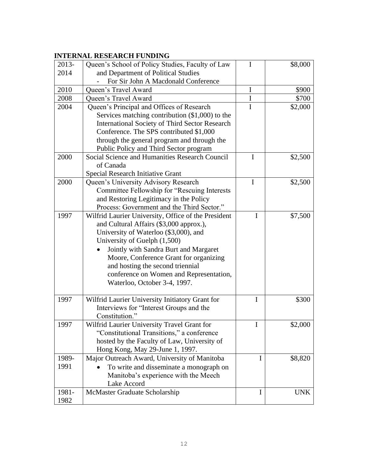# **INTERNAL RESEARCH FUNDING**

| 2013- | Queen's School of Policy Studies, Faculty of Law      | I           | \$8,000    |
|-------|-------------------------------------------------------|-------------|------------|
| 2014  | and Department of Political Studies                   |             |            |
|       | For Sir John A Macdonald Conference                   |             |            |
| 2010  | Queen's Travel Award                                  | $\mathbf I$ | \$900      |
| 2008  | Queen's Travel Award                                  | $\mathbf I$ | \$700      |
| 2004  | Queen's Principal and Offices of Research             | I           | \$2,000    |
|       | Services matching contribution $(\$1,000)$ to the     |             |            |
|       | <b>International Society of Third Sector Research</b> |             |            |
|       | Conference. The SPS contributed \$1,000               |             |            |
|       | through the general program and through the           |             |            |
|       | Public Policy and Third Sector program                |             |            |
| 2000  | Social Science and Humanities Research Council        | I           | \$2,500    |
|       | of Canada                                             |             |            |
|       | <b>Special Research Initiative Grant</b>              |             |            |
| 2000  | Queen's University Advisory Research                  | I           | \$2,500    |
|       | Committee Fellowship for "Rescuing Interests          |             |            |
|       | and Restoring Legitimacy in the Policy                |             |            |
|       | Process: Government and the Third Sector."            |             |            |
| 1997  | Wilfrid Laurier University, Office of the President   | $\mathbf I$ | \$7,500    |
|       | and Cultural Affairs (\$3,000 approx.),               |             |            |
|       | University of Waterloo (\$3,000), and                 |             |            |
|       | University of Guelph (1,500)                          |             |            |
|       | Jointly with Sandra Burt and Margaret                 |             |            |
|       | Moore, Conference Grant for organizing                |             |            |
|       | and hosting the second triennial                      |             |            |
|       | conference on Women and Representation,               |             |            |
|       | Waterloo, October 3-4, 1997.                          |             |            |
|       |                                                       |             |            |
| 1997  | Wilfrid Laurier University Initiatory Grant for       | I           | \$300      |
|       | Interviews for "Interest Groups and the               |             |            |
|       | Constitution."                                        |             |            |
| 1997  | Wilfrid Laurier University Travel Grant for           | I           | \$2,000    |
|       | "Constitutional Transitions," a conference            |             |            |
|       | hosted by the Faculty of Law, University of           |             |            |
|       | Hong Kong, May 29-June 1, 1997.                       |             |            |
| 1989- | Major Outreach Award, University of Manitoba          | I           | \$8,820    |
| 1991  | To write and disseminate a monograph on               |             |            |
|       | Manitoba's experience with the Meech                  |             |            |
|       | Lake Accord                                           |             |            |
| 1981- | McMaster Graduate Scholarship                         | Ι           | <b>UNK</b> |
| 1982  |                                                       |             |            |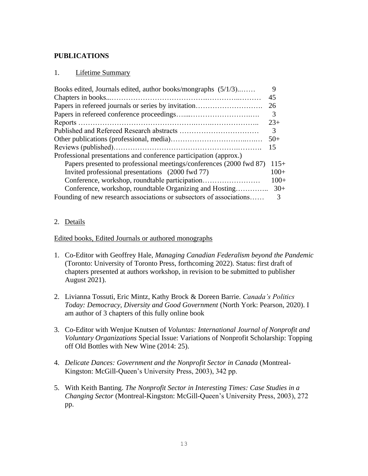# **PUBLICATIONS**

## 1. Lifetime Summary

| Books edited, Journals edited, author books/mongraphs (5/1/3)       | 9      |
|---------------------------------------------------------------------|--------|
|                                                                     | 45     |
|                                                                     | 26     |
|                                                                     | 3      |
|                                                                     | $23+$  |
|                                                                     | 3      |
|                                                                     | $50+$  |
|                                                                     | 15     |
| Professional presentations and conference participation (approx.)   |        |
| Papers presented to professional meetings/conferences (2000 fwd 87) | $115+$ |
| Invited professional presentations (2000 fwd 77)                    | $100+$ |
| Conference, workshop, roundtable participation                      | $100+$ |
| Conference, workshop, roundtable Organizing and Hosting             | $30+$  |
| Founding of new research associations or subsectors of associations | 3      |

# 2. Details

## Edited books, Edited Journals or authored monographs

- 1. Co-Editor with Geoffrey Hale, *Managing Canadian Federalism beyond the Pandemic* (Toronto: University of Toronto Press, forthcoming 2022). Status: first draft of chapters presented at authors workshop, in revision to be submitted to publisher August 2021).
- 2. Livianna Tossuti, Eric Mintz, Kathy Brock & Doreen Barrie. *Canada's Politics Today: Democracy, Diversity and Good Government* (North York: Pearson, 2020). I am author of 3 chapters of this fully online book
- 3. Co-Editor with Wenjue Knutsen of *Voluntas: International Journal of Nonprofit and Voluntary Organizations* Special Issue: Variations of Nonprofit Scholarship: Topping off Old Bottles with New Wine (2014: 25).
- 4. *Delicate Dances: Government and the Nonprofit Sector in Canada* (Montreal-Kingston: McGill-Queen's University Press, 2003), 342 pp.
- 5. With Keith Banting. *The Nonprofit Sector in Interesting Times: Case Studies in a Changing Sector* (Montreal-Kingston: McGill-Queen's University Press, 2003), 272 pp.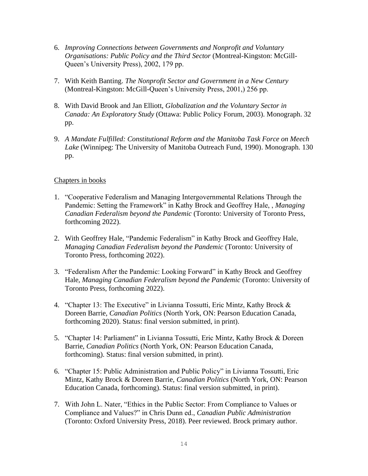- 6. *Improving Connections between Governments and Nonprofit and Voluntary Organisations: Public Policy and the Third Sector* (Montreal-Kingston: McGill-Queen's University Press), 2002, 179 pp.
- 7. With Keith Banting. *The Nonprofit Sector and Government in a New Century* (Montreal-Kingston: McGill-Queen's University Press, 2001,) 256 pp.
- 8. With David Brook and Jan Elliott, *Globalization and the Voluntary Sector in Canada: An Exploratory Study* (Ottawa: Public Policy Forum, 2003). Monograph. 32 pp.
- 9. *A Mandate Fulfilled: Constitutional Reform and the Manitoba Task Force on Meech Lake* (Winnipeg: The University of Manitoba Outreach Fund, 1990). Monograph. 130 pp.

## Chapters in books

- 1. "Cooperative Federalism and Managing Intergovernmental Relations Through the Pandemic: Setting the Framework" in Kathy Brock and Geoffrey Hale, , *Managing Canadian Federalism beyond the Pandemic* (Toronto: University of Toronto Press, forthcoming 2022).
- 2. With Geoffrey Hale, "Pandemic Federalism" in Kathy Brock and Geoffrey Hale, *Managing Canadian Federalism beyond the Pandemic* (Toronto: University of Toronto Press, forthcoming 2022).
- 3. "Federalism After the Pandemic: Looking Forward" in Kathy Brock and Geoffrey Hale, *Managing Canadian Federalism beyond the Pandemic* (Toronto: University of Toronto Press, forthcoming 2022).
- 4. "Chapter 13: The Executive" in Livianna Tossutti, Eric Mintz, Kathy Brock & Doreen Barrie, *Canadian Politics* (North York, ON: Pearson Education Canada, forthcoming 2020). Status: final version submitted, in print).
- 5. "Chapter 14: Parliament" in Livianna Tossutti, Eric Mintz, Kathy Brock & Doreen Barrie, *Canadian Politics* (North York, ON: Pearson Education Canada, forthcoming). Status: final version submitted, in print).
- 6. "Chapter 15: Public Administration and Public Policy" in Livianna Tossutti, Eric Mintz, Kathy Brock & Doreen Barrie, *Canadian Politics* (North York, ON: Pearson Education Canada, forthcoming). Status: final version submitted, in print).
- 7. With John L. Nater, "Ethics in the Public Sector: From Compliance to Values or Compliance and Values?" in Chris Dunn ed., *Canadian Public Administration* (Toronto: Oxford University Press, 2018). Peer reviewed. Brock primary author.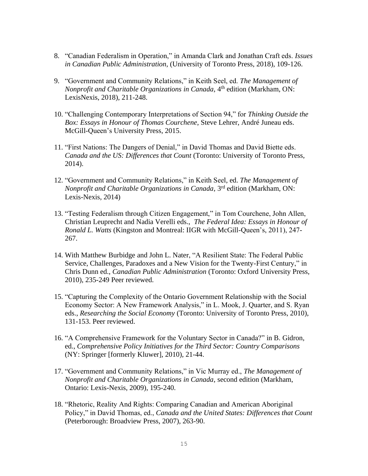- 8. "Canadian Federalism in Operation," in Amanda Clark and Jonathan Craft eds. *Issues in Canadian Public Administration*, (University of Toronto Press, 2018), 109-126.
- 9. "Government and Community Relations," in Keith Seel, ed. *The Management of Nonprofit and Charitable Organizations in Canada*, 4<sup>th</sup> edition (Markham, ON: LexisNexis, 2018), 211-248.
- 10. "Challenging Contemporary Interpretations of Section 94," for *Thinking Outside the Box: Essays in Honour of Thomas Courchene*, Steve Lehrer, André Juneau eds. McGill-Queen's University Press, 2015.
- 11. "First Nations: The Dangers of Denial," in David Thomas and David Biette eds. *Canada and the US: Differences that Count* (Toronto: University of Toronto Press, 2014).
- 12. "Government and Community Relations," in Keith Seel, ed. *The Management of Nonprofit and Charitable Organizations in Canada*, 3rd edition (Markham, ON: Lexis-Nexis, 2014)
- 13. "Testing Federalism through Citizen Engagement," in Tom Courchene, John Allen, Christian Leuprecht and Nadia Verelli eds., *The Federal Idea: Essays in Honour of Ronald L. Watts* (Kingston and Montreal: IIGR with McGill-Queen's, 2011), 247- 267.
- 14. With Matthew Burbidge and John L. Nater, "A Resilient State: The Federal Public Service, Challenges, Paradoxes and a New Vision for the Twenty-First Century," in Chris Dunn ed., *Canadian Public Administration* (Toronto: Oxford University Press, 2010), 235-249 Peer reviewed.
- 15. "Capturing the Complexity of the Ontario Government Relationship with the Social Economy Sector: A New Framework Analysis," in L. Mook, J. Quarter, and S. Ryan eds., *Researching the Social Economy* (Toronto: University of Toronto Press, 2010), 131-153. Peer reviewed.
- 16. "A Comprehensive Framework for the Voluntary Sector in Canada?" in B. Gidron, ed., *Comprehensive Policy Initiatives for the Third Sector: Country Comparisons* (NY: Springer [formerly Kluwer], 2010), 21-44.
- 17. "Government and Community Relations," in Vic Murray ed., *The Management of Nonprofit and Charitable Organizations in Canada*, second edition (Markham, Ontario: Lexis-Nexis, 2009), 195-240.
- 18. "Rhetoric, Reality And Rights: Comparing Canadian and American Aboriginal Policy," in David Thomas, ed., *Canada and the United States: Differences that Count* (Peterborough: Broadview Press, 2007), 263-90.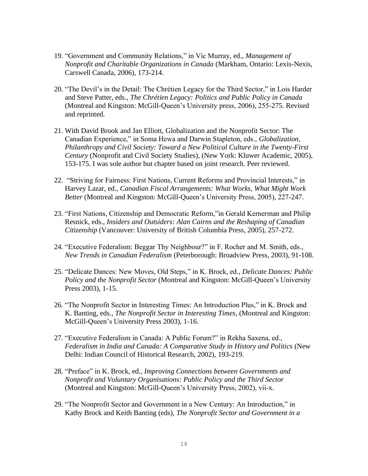- 19. "Government and Community Relations," in Vic Murray, ed., *Management of Nonprofit and Charitable Organizations in Canada* (Markham, Ontario: Lexis-Nexis, Carswell Canada, 2006), 173-214.
- 20. "The Devil's in the Detail: The Chrétien Legacy for the Third Sector," in Lois Harder and Steve Patter, eds., *The Chrétien Legacy: Politics and Public Policy in Canada* (Montreal and Kingston: McGill-Queen's University press, 2006), 255-275. Revised and reprinted.
- 21. With David Brook and Jan Elliott, Globalization and the Nonprofit Sector: The Canadian Experience," in Soma Hewa and Darwin Stapleton, eds., *Globalization, Philanthropy and Civil Society: Toward a New Political Culture in the Twenty-First Century* (Nonprofit and Civil Society Studies), (New York: Kluwer Academic, 2005), 153-175. I was sole author but chapter based on joint research. Peer reviewed.
- 22. "Striving for Fairness: First Nations, Current Reforms and Provincial Interests," in Harvey Lazar, ed., *Canadian Fiscal Arrangements: What Works, What Might Work Better* (Montreal and Kingston: McGill-Queen's University Press, 2005), 227-247.
- 23. "First Nations, Citizenship and Democratic Reform,"in Gerald Kernerman and Philip Resnick, eds., *Insiders and Outsiders: Alan Cairns and the Reshaping of Canadian Citizenship* (Vancouver: University of British Columbia Press, 2005), 257-272.
- 24. "Executive Federalism: Beggar Thy Neighbour?" in F. Rocher and M. Smith, eds., *New Trends in Canadian Federalism* (Peterborough: Broadview Press, 2003), 91-108.
- 25. "Delicate Dances: New Moves, Old Steps," in K. Brock, ed., *Delicate Dances: Public Policy and the Nonprofit Sector* (Montreal and Kingston: McGill-Queen's University Press 2003), 1-15.
- 26. "The Nonprofit Sector in Interesting Times: An Introduction Plus," in K. Brock and K. Banting, eds., *The Nonprofit Sector in Interesting Times*, (Montreal and Kingston: McGill-Queen's University Press 2003), 1-16.
- 27. "Executive Federalism in Canada: A Public Forum?" in Rekha Saxena, ed., *Federalism in India and Canada: A Comparative Study in History and Politics* (New Delhi: Indian Council of Historical Research, 2002), 193-219.
- 28. "Preface" in K. Brock, ed., *Improving Connections between Governments and Nonprofit and Voluntary Organisations: Public Policy and the Third Sector* (Montreal and Kingston: McGill-Queen's University Press, 2002), vii-x.
- 29. "The Nonprofit Sector and Government in a New Century: An Introduction," in Kathy Brock and Keith Banting (eds), *The Nonprofit Sector and Government in a*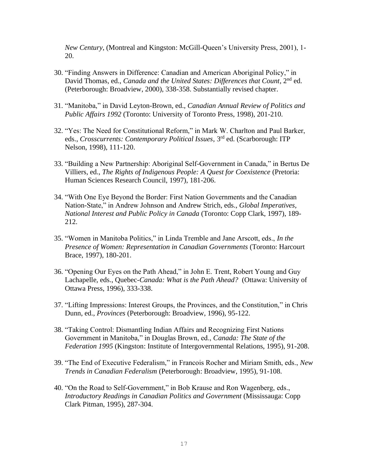*New Century*, (Montreal and Kingston: McGill-Queen's University Press, 2001), 1- 20.

- 30. "Finding Answers in Difference: Canadian and American Aboriginal Policy," in David Thomas, ed., *Canada and the United States: Differences that Count*, 2<sup>nd</sup> ed. (Peterborough: Broadview, 2000), 338-358. Substantially revised chapter.
- 31. "Manitoba," in David Leyton-Brown, ed., *Canadian Annual Review of Politics and Public Affairs 1992* (Toronto: University of Toronto Press, 1998), 201-210.
- 32. "Yes: The Need for Constitutional Reform," in Mark W. Charlton and Paul Barker, eds., *Crosscurrents: Contemporary Political Issues*, 3rd ed. (Scarborough: ITP Nelson, 1998), 111-120.
- 33. "Building a New Partnership: Aboriginal Self-Government in Canada," in Bertus De Villiers, ed., *The Rights of Indigenous People: A Quest for Coexistence* (Pretoria: Human Sciences Research Council, 1997), 181-206.
- 34. "With One Eye Beyond the Border: First Nation Governments and the Canadian Nation-State," in Andrew Johnson and Andrew Strich, eds., *Global Imperatives, National Interest and Public Policy in Canada* (Toronto: Copp Clark, 1997), 189- 212.
- 35. "Women in Manitoba Politics," in Linda Tremble and Jane Arscott, eds., *In the Presence of Women: Representation in Canadian Governments* (Toronto: Harcourt Brace, 1997), 180-201.
- 36. "Opening Our Eyes on the Path Ahead," in John E. Trent, Robert Young and Guy Lachapelle, eds., Quebec*-Canada: What is the Path Ahead?* (Ottawa: University of Ottawa Press, 1996), 333-338.
- 37. "Lifting Impressions: Interest Groups, the Provinces, and the Constitution," in Chris Dunn, ed., *Provinces* (Peterborough: Broadview, 1996), 95-122.
- 38. "Taking Control: Dismantling Indian Affairs and Recognizing First Nations Government in Manitoba," in Douglas Brown, ed., *Canada: The State of the Federation 1995* (Kingston: Institute of Intergovernmental Relations, 1995), 91-208.
- 39. "The End of Executive Federalism," in Francois Rocher and Miriam Smith, eds., *New Trends in Canadian Federalism* (Peterborough: Broadview, 1995), 91-108.
- 40. "On the Road to Self-Government," in Bob Krause and Ron Wagenberg, eds., *Introductory Readings in Canadian Politics and Government* (Mississauga: Copp Clark Pitman, 1995), 287-304.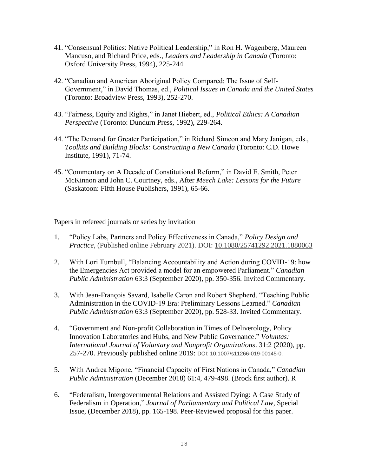- 41. "Consensual Politics: Native Political Leadership," in Ron H. Wagenberg, Maureen Mancuso, and Richard Price, eds., *Leaders and Leadership in Canada* (Toronto: Oxford University Press, 1994), 225-244.
- 42. "Canadian and American Aboriginal Policy Compared: The Issue of Self-Government," in David Thomas, ed., *Political Issues in Canada and the United States* (Toronto: Broadview Press, 1993), 252-270.
- 43. "Fairness, Equity and Rights," in Janet Hiebert, ed., *Political Ethics: A Canadian Perspective* (Toronto: Dundurn Press, 1992), 229-264.
- 44. "The Demand for Greater Participation," in Richard Simeon and Mary Janigan, eds., *Toolkits and Building Blocks: Constructing a New Canada* (Toronto: C.D. Howe Institute, 1991), 71-74.
- 45. "Commentary on A Decade of Constitutional Reform," in David E. Smith, Peter McKinnon and John C. Courtney, eds., After *Meech Lake: Lessons for the Future* (Saskatoon: Fifth House Publishers, 1991), 65-66.

#### Papers in refereed journals or series by invitation

- 1. "Policy Labs, Partners and Policy Effectiveness in Canada," *Policy Design and Practice*, (Published online February 2021). DOI: [10.1080/25741292.2021.1880063](https://doi.org/10.1080/25741292.2021.1880063)
- 2. With Lori Turnbull, "Balancing Accountability and Action during COVID-19: how the Emergencies Act provided a model for an empowered Parliament." *Canadian Public Administration* 63:3 (September 2020), pp. 350-356. Invited Commentary.
- 3. With Jean-François Savard, Isabelle Caron and Robert Shepherd, "Teaching Public Administration in the COVID-19 Era: Preliminary Lessons Learned." *Canadian Public Administration* 63:3 (September 2020), pp. 528-33. Invited Commentary.
- 4. "Government and Non-profit Collaboration in Times of Deliverology, Policy Innovation Laboratories and Hubs, and New Public Governance." *Voluntas: International Journal of Voluntary and Nonprofit Organizations*. 31:2 (2020), pp. 257-270. Previously published online 2019: DOI: 10.1007/s11266-019-00145-0.
- 5. With Andrea Migone, "Financial Capacity of First Nations in Canada," *Canadian Public Administration* (December 2018) 61:4, 479-498. (Brock first author). R
- 6. "Federalism, Intergovernmental Relations and Assisted Dying: A Case Study of Federalism in Operation," *Journal of Parliamentary and Political Law*, Special Issue, (December 2018), pp. 165-198. Peer-Reviewed proposal for this paper.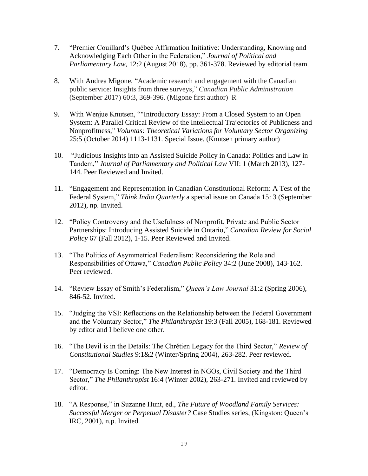- 7. "Premier Couillard's Québec Affirmation Initiative: Understanding, Knowing and Acknowledging Each Other in the Federation," *Journal of Political and Parliamentary Law*, 12:2 (August 2018), pp. 361-378. Reviewed by editorial team.
- 8. With Andrea Migone, "Academic research and engagement with the Canadian public service: Insights from three surveys," *Canadian Public Administration* (September 2017) 60:3, 369-396. (Migone first author) R
- 9. With Wenjue Knutsen, ""Introductory Essay: From a Closed System to an Open System: A Parallel Critical Review of the Intellectual Trajectories of Publicness and Nonprofitness," *Voluntas: Theoretical Variations for Voluntary Sector Organizing* 25:5 (October 2014) 1113-1131. Special Issue. (Knutsen primary author)
- 10. "Judicious Insights into an Assisted Suicide Policy in Canada: Politics and Law in Tandem," *Journal of Parliamentary and Political Law* VII: 1 (March 2013), 127- 144. Peer Reviewed and Invited.
- 11. "Engagement and Representation in Canadian Constitutional Reform: A Test of the Federal System," *Think India Quarterly* a special issue on Canada 15: 3 (September 2012), np. Invited.
- 12. "Policy Controversy and the Usefulness of Nonprofit, Private and Public Sector Partnerships: Introducing Assisted Suicide in Ontario," *Canadian Review for Social Policy* 67 (Fall 2012), 1-15. Peer Reviewed and Invited.
- 13. "The Politics of Asymmetrical Federalism: Reconsidering the Role and Responsibilities of Ottawa," *Canadian Public Policy* 34:2 (June 2008), 143-162. Peer reviewed.
- 14. "Review Essay of Smith's Federalism," *Queen's Law Journal* 31:2 (Spring 2006), 846-52. Invited.
- 15. "Judging the VSI: Reflections on the Relationship between the Federal Government and the Voluntary Sector," *The Philanthropist* 19:3 (Fall 2005), 168-181. Reviewed by editor and I believe one other.
- 16. "The Devil is in the Details: The Chrétien Legacy for the Third Sector," *Review of Constitutional Studies* 9:1&2 (Winter/Spring 2004), 263-282. Peer reviewed.
- 17. "Democracy Is Coming: The New Interest in NGOs, Civil Society and the Third Sector," *The Philanthropist* 16:4 (Winter 2002), 263-271. Invited and reviewed by editor.
- 18. "A Response," in Suzanne Hunt, ed., *The Future of Woodland Family Services: Successful Merger or Perpetual Disaster?* Case Studies series, (Kingston: Queen's IRC, 2001), n.p. Invited.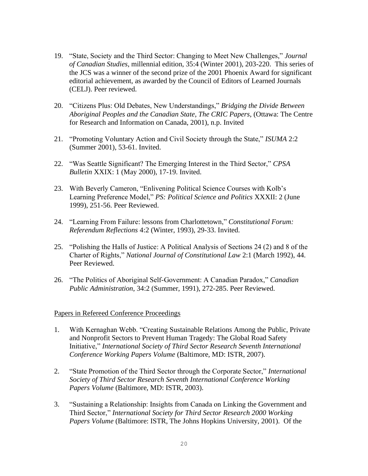- 19. "State, Society and the Third Sector: Changing to Meet New Challenges," *Journal of Canadian Studies*, millennial edition, 35:4 (Winter 2001), 203-220. This series of the JCS was a winner of the second prize of the 2001 Phoenix Award for significant editorial achievement, as awarded by the Council of Editors of Learned Journals (CELJ). Peer reviewed.
- 20. "Citizens Plus: Old Debates, New Understandings," *Bridging the Divide Between Aboriginal Peoples and the Canadian State, The CRIC Papers*, (Ottawa: The Centre for Research and Information on Canada, 2001), n.p. Invited
- 21. "Promoting Voluntary Action and Civil Society through the State," *ISUMA* 2:2 (Summer 2001), 53-61. Invited.
- 22. "Was Seattle Significant? The Emerging Interest in the Third Sector," *CPSA Bulletin* XXIX: 1 (May 2000), 17-19. Invited.
- 23. With Beverly Cameron, "Enlivening Political Science Courses with Kolb's Learning Preference Model," *PS: Political Science and Politics* XXXII: 2 (June 1999), 251-56. Peer Reviewed.
- 24. "Learning From Failure: lessons from Charlottetown," *Constitutional Forum: Referendum Reflections* 4:2 (Winter, 1993), 29-33. Invited.
- 25. "Polishing the Halls of Justice: A Political Analysis of Sections 24 (2) and 8 of the Charter of Rights," *National Journal of Constitutional Law* 2:1 (March 1992), 44. Peer Reviewed.
- 26. "The Politics of Aboriginal Self-Government: A Canadian Paradox," *Canadian Public Administration*, 34:2 (Summer, 1991), 272-285. Peer Reviewed.

## Papers in Refereed Conference Proceedings

- 1. With Kernaghan Webb. "Creating Sustainable Relations Among the Public, Private and Nonprofit Sectors to Prevent Human Tragedy: The Global Road Safety Initiative," *International Society of Third Sector Research Seventh International Conference Working Papers Volume* (Baltimore, MD: ISTR, 2007).
- 2. "State Promotion of the Third Sector through the Corporate Sector," *International Society of Third Sector Research Seventh International Conference Working Papers Volume* (Baltimore, MD: ISTR, 2003).
- 3. "Sustaining a Relationship: Insights from Canada on Linking the Government and Third Sector," *International Society for Third Sector Research 2000 Working Papers Volume* (Baltimore: ISTR, The Johns Hopkins University, 2001). Of the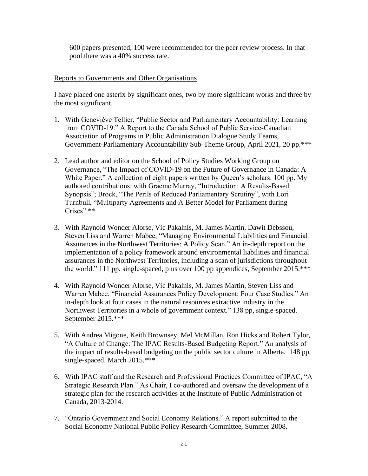600 papers presented, 100 were recommended for the peer review process. In that pool there was a 40% success rate.

## Reports to Governments and Other Organisations

I have placed one asterix by significant ones, two by more significant works and three by the most significant.

- 1. With Geneviève Tellier, "Public Sector and Parliamentary Accountability: Learning from COVID-19." A Report to the Canada School of Public Service-Canadian Association of Programs in Public Administration Dialogue Study Teams, Government-Parliamentary Accountability Sub-Theme Group, April 2021, 20 pp.\*\*\*
- 2. Lead author and editor on the School of Policy Studies Working Group on Governance, "The Impact of COVID-19 on the Future of Governance in Canada: A White Paper." A collection of eight papers written by Queen's scholars. 100 pp. My authored contributions: with Graeme Murray, "Introduction: A Results-Based Synopsis"; Brock, "The Perils of Reduced Parliamentary Scrutiny", with Lori Turnbull, "Multiparty Agreements and A Better Model for Parliament during Crises".\*\*
- 3. With Raynold Wonder Alorse, Vic Pakalnis, M. James Martin, Dawit Debssou, Steven Liss and Warren Mabee, "Managing Environmental Liabilities and Financial Assurances in the Northwest Territories: A Policy Scan." An in-depth report on the implementation of a policy framework around environmental liabilities and financial assurances in the Northwest Territories, including a scan of jurisdictions throughout the world." 111 pp, single-spaced, plus over 100 pp appendices, September 2015.\*\*\*
- 4. With Raynold Wonder Alorse, Vic Pakalnis, M. James Martin, Steven Liss and Warren Mabee, "Financial Assurances Policy Development: Four Case Studies." An in-depth look at four cases in the natural resources extractive industry in the Northwest Territories in a whole of government context." 138 pp, single-spaced. September 2015.\*\*\*
- 5. With Andrea Migone, Keith Brownsey, Mel McMillan, Ron Hicks and Robert Tylor, "A Culture of Change: The IPAC Results-Based Budgeting Report." An analysis of the impact of results-based budgeting on the public sector culture in Alberta. 148 pp, single-spaced. March 2015.\*\*\*
- 6. With IPAC staff and the Research and Professional Practices Committee of IPAC, "A Strategic Research Plan." As Chair, I co-authored and oversaw the development of a strategic plan for the research activities at the Institute of Public Administration of Canada, 2013-2014.
- 7. "Ontario Government and Social Economy Relations." A report submitted to the Social Economy National Public Policy Research Committee, Summer 2008.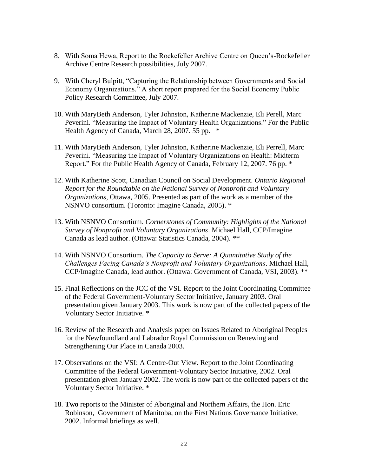- 8. With Soma Hewa, Report to the Rockefeller Archive Centre on Queen's-Rockefeller Archive Centre Research possibilities, July 2007.
- 9. With Cheryl Bulpitt, "Capturing the Relationship between Governments and Social Economy Organizations." A short report prepared for the Social Economy Public Policy Research Committee, July 2007.
- 10. With MaryBeth Anderson, Tyler Johnston, Katherine Mackenzie, Eli Perell, Marc Peverini. "Measuring the Impact of Voluntary Health Organizations." For the Public Health Agency of Canada, March 28, 2007. 55 pp.  $*$
- 11. With MaryBeth Anderson, Tyler Johnston, Katherine Mackenzie, Eli Perrell, Marc Peverini. "Measuring the Impact of Voluntary Organizations on Health: Midterm Report." For the Public Health Agency of Canada, February 12, 2007. 76 pp. \*
- 12. With Katherine Scott, Canadian Council on Social Development. *Ontario Regional Report for the Roundtable on the National Survey of Nonprofit and Voluntary Organizations*, Ottawa, 2005. Presented as part of the work as a member of the NSNVO consortium. (Toronto: Imagine Canada, 2005). \*
- 13. With NSNVO Consortium. *Cornerstones of Community: Highlights of the National Survey of Nonprofit and Voluntary Organizations*. Michael Hall, CCP/Imagine Canada as lead author. (Ottawa: Statistics Canada, 2004). \*\*
- 14. With NSNVO Consortium. *The Capacity to Serve: A Quantitative Study of the Challenges Facing Canada's Nonprofit and Voluntary Organizations*. Michael Hall, CCP/Imagine Canada, lead author. (Ottawa: Government of Canada, VSI, 2003). \*\*
- 15. Final Reflections on the JCC of the VSI. Report to the Joint Coordinating Committee of the Federal Government-Voluntary Sector Initiative, January 2003. Oral presentation given January 2003. This work is now part of the collected papers of the Voluntary Sector Initiative. \*
- 16. Review of the Research and Analysis paper on Issues Related to Aboriginal Peoples for the Newfoundland and Labrador Royal Commission on Renewing and Strengthening Our Place in Canada 2003.
- 17. Observations on the VSI: A Centre-Out View. Report to the Joint Coordinating Committee of the Federal Government-Voluntary Sector Initiative, 2002. Oral presentation given January 2002. The work is now part of the collected papers of the Voluntary Sector Initiative. \*
- 18. **Two** reports to the Minister of Aboriginal and Northern Affairs, the Hon. Eric Robinson, Government of Manitoba, on the First Nations Governance Initiative, 2002. Informal briefings as well.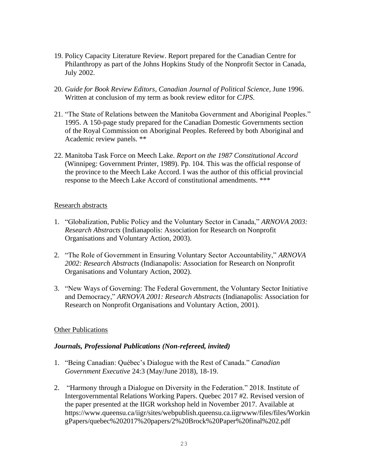- 19. Policy Capacity Literature Review. Report prepared for the Canadian Centre for Philanthropy as part of the Johns Hopkins Study of the Nonprofit Sector in Canada, July 2002.
- 20. *Guide for Book Review Editors*, *Canadian Journal of Political Science*, June 1996. Written at conclusion of my term as book review editor for *CJPS*.
- 21. "The State of Relations between the Manitoba Government and Aboriginal Peoples." 1995. A 150-page study prepared for the Canadian Domestic Governments section of the Royal Commission on Aboriginal Peoples. Refereed by both Aboriginal and Academic review panels. \*\*
- 22. Manitoba Task Force on Meech Lake. *Report on the 1987 Constitutional Accord* (Winnipeg: Government Printer, 1989). Pp. 104. This was the official response of the province to the Meech Lake Accord. I was the author of this official provincial response to the Meech Lake Accord of constitutional amendments. \*\*\*

## Research abstracts

- 1. "Globalization, Public Policy and the Voluntary Sector in Canada," *ARNOVA 2003: Research Abstracts* (Indianapolis: Association for Research on Nonprofit Organisations and Voluntary Action, 2003).
- 2. "The Role of Government in Ensuring Voluntary Sector Accountability," *ARNOVA 2002: Research Abstracts* (Indianapolis: Association for Research on Nonprofit Organisations and Voluntary Action, 2002).
- 3. "New Ways of Governing: The Federal Government, the Voluntary Sector Initiative and Democracy," *ARNOVA 2001: Research Abstracts* (Indianapolis: Association for Research on Nonprofit Organisations and Voluntary Action, 2001).

## **Other Publications**

# *Journals, Professional Publications (Non-refereed, invited)*

- 1. "Being Canadian: Québec's Dialogue with the Rest of Canada." *Canadian Government Executive* 24:3 (May/June 2018), 18-19.
- 2. "Harmony through a Dialogue on Diversity in the Federation." 2018. Institute of Intergovernmental Relations Working Papers. Quebec 2017 #2. Revised version of the paper presented at the IIGR workshop held in November 2017. Available at https://www.queensu.ca/iigr/sites/webpublish.queensu.ca.iigrwww/files/files/Workin gPapers/quebec%202017%20papers/2%20Brock%20Paper%20final%202.pdf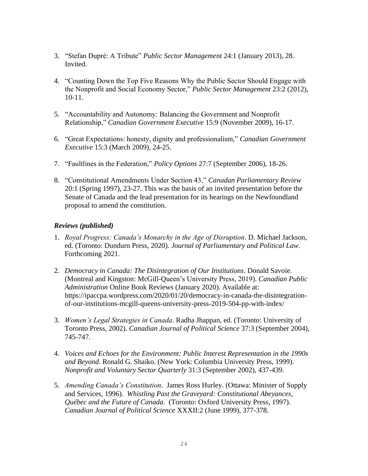- 3. "Stefan Dupré: A Tribute" *Public Sector Management* 24:1 (January 2013), 28. Invited.
- 4. "Counting Down the Top Five Reasons Why the Public Sector Should Engage with the Nonprofit and Social Economy Sector," *Public Sector Management* 23:2 (2012), 10-11.
- 5. "Accountability and Autonomy: Balancing the Government and Nonprofit Relationship," *Canadian Government Executive* 15:9 (November 2009), 16-17.
- 6. "Great Expectations: honesty, dignity and professionalism," *Canadian Government Executive* 15:3 (March 2009), 24-25.
- 7. "Faultlines in the Federation," *Policy Options* 27:7 (September 2006), 18-26.
- 8. "Constitutional Amendments Under Section 43," *Canadan Parliamentary Review* 20:1 (Spring 1997), 23-27. This was the basis of an invited presentation before the Senate of Canada and the lead presentation for its hearings on the Newfoundland proposal to amend the constitution.

## *Reviews (published)*

- 1. *Royal Progress: Canada's Monarchy in the Age of Disruption*. D. Michael Jackson, ed. (Toronto: Dundurn Press, 2020). *Journal of Parliamentary and Political Law*. Forthcoming 2021.
- 2. *Democracy in Canada: The Disintegration of Our Institutions*. Donald Savoie. (Montreal and Kingston: McGill-Queen's University Press, 2019). *Canadian Public Administration* Online Book Reviews (January 2020). Available at: https://ipaccpa.wordpress.com/2020/01/20/democracy-in-canada-the-disintegrationof-our-institutions-mcgill-queens-university-press-2019-504-pp-with-index/
- 3. *Women's Legal Strategies in Canada*. Radha Jhappan, ed. (Toronto: University of Toronto Press, 2002). *Canadian Journal of Political Science* 37:3 (September 2004), 745-747.
- 4. *Voices and Echoes for the Environment: Public Interest Representation in the 1990s and Beyond*. Ronald G. Shaiko. (New York: Columbia University Press, 1999). *Nonprofit and Voluntary Sector Quarterly* 31:3 (September 2002), 437-439.
- 5. *Amending Canada's Constitution*. James Ross Hurley. (Ottawa: Minister of Supply and Services, 1996). *Whistling Past the Graveyard: Constitutional Abeyances, Québec and the Future of Canada*. (Toronto: Oxford University Press, 1997). *Canadian Journal of Political Science* XXXII:2 (June 1999), 377-378.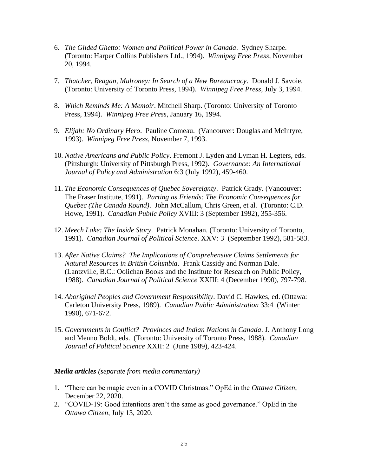- 6. *The Gilded Ghetto: Women and Political Power in Canada*. Sydney Sharpe. (Toronto: Harper Collins Publishers Ltd., 1994). *Winnipeg Free Press*, November 20, 1994.
- 7. *Thatcher, Reagan, Mulroney: In Search of a New Bureaucracy*. Donald J. Savoie. (Toronto: University of Toronto Press, 1994). *Winnipeg Free Press*, July 3, 1994.
- 8. *Which Reminds Me: A Memoir*. Mitchell Sharp. (Toronto: University of Toronto Press, 1994). *Winnipeg Free Press*, January 16, 1994.
- 9. *Elijah: No Ordinary Hero*. Pauline Comeau. (Vancouver: Douglas and McIntyre, 1993). *Winnipeg Free Press*, November 7, 1993.
- 10. *Native Americans and Public Policy*. Fremont J. Lyden and Lyman H. Legters, eds. (Pittsburgh: University of Pittsburgh Press, 1992). *Governance: An International Journal of Policy and Administration* 6:3 (July 1992), 459-460.
- 11. *The Economic Consequences of Quebec Sovereignty*. Patrick Grady. (Vancouver: The Fraser Institute, 1991). *Parting as Friends: The Economic Consequences for Quebec (The Canada Round)*. John McCallum, Chris Green, et al. (Toronto: C.D. Howe, 1991). *Canadian Public Policy* XVIII: 3 (September 1992), 355-356.
- 12. *Meech Lake: The Inside Story*. Patrick Monahan. (Toronto: University of Toronto, 1991). *Canadian Journal of Political Science*. XXV: 3 (September 1992), 581-583.
- 13. *After Native Claims? The Implications of Comprehensive Claims Settlements for Natural Resources in British Columbia*. Frank Cassidy and Norman Dale. (Lantzville, B.C.: Oolichan Books and the Institute for Research on Public Policy, 1988). *Canadian Journal of Political Science* XXIII: 4 (December 1990), 797-798.
- 14. *Aboriginal Peoples and Government Responsibility*. David C. Hawkes, ed. (Ottawa: Carleton University Press, 1989). *Canadian Public Administration* 33:4 (Winter 1990), 671-672.
- 15. *Governments in Conflict? Provinces and Indian Nations in Canada*. J. Anthony Long and Menno Boldt, eds. (Toronto: University of Toronto Press, 1988). *Canadian Journal of Political Science* XXII: 2 (June 1989), 423-424.

#### *Media articles (separate from media commentary)*

- 1. "There can be magic even in a COVID Christmas." OpEd in the *Ottawa Citizen*, December 22, 2020.
- 2. "COVID-19: Good intentions aren't the same as good governance." OpEd in the *Ottawa Citizen*, July 13, 2020.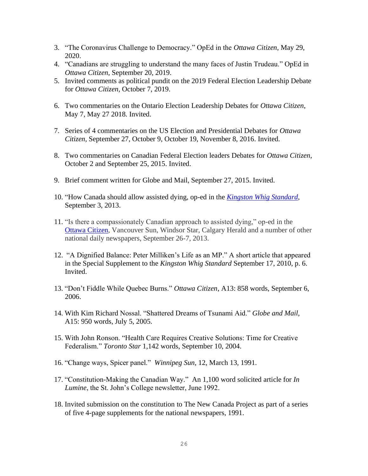- 3. "The Coronavirus Challenge to Democracy." OpEd in the *Ottawa Citizen*, May 29, 2020.
- 4. "Canadians are struggling to understand the many faces of Justin Trudeau." OpEd in *Ottawa Citizen*, September 20, 2019.
- 5. Invited comments as political pundit on the 2019 Federal Election Leadership Debate for *Ottawa Citizen*, October 7, 2019.
- 6. Two commentaries on the Ontario Election Leadership Debates for *Ottawa Citizen*, May 7, May 27 2018. Invited.
- 7. Series of 4 commentaries on the US Election and Presidential Debates for *Ottawa Citizen*, September 27, October 9, October 19, November 8, 2016. Invited.
- 8. Two commentaries on Canadian Federal Election leaders Debates for *Ottawa Citizen*, October 2 and September 25, 2015. Invited.
- 9. Brief comment written for Globe and Mail, September 27, 2015. Invited.
- 10. "How Canada should allow assisted dying, op-ed in the *[Kingston Whig Standard](http://www.thewhig.com/2013/09/03/how-canada-should-allow-assisted-dying)*, September 3, 2013.
- 11. "Is there a compassionately Canadian approach to assisted dying," op-ed in the [Ottawa Citizen,](http://www.ottawacitizen.com/health/Assisted+dying+there+compassionately+Canadian+approach/8962327/story.html) Vancouver Sun, Windsor Star, Calgary Herald and a number of other national daily newspapers, September 26-7, 2013.
- 12. "A Dignified Balance: Peter Milliken's Life as an MP." A short article that appeared in the Special Supplement to the *Kingston Whig Standard* September 17, 2010, p. 6. Invited.
- 13. "Don't Fiddle While Quebec Burns." *Ottawa Citizen*, A13: 858 words, September 6, 2006.
- 14. With Kim Richard Nossal. "Shattered Dreams of Tsunami Aid." *Globe and Mail*, A15: 950 words, July 5, 2005.
- 15. With John Ronson. "Health Care Requires Creative Solutions: Time for Creative Federalism." *Toronto Star* 1,142 words, September 10, 2004.
- 16. "Change ways, Spicer panel." *Winnipeg Sun*, 12, March 13, 1991.
- 17. "Constitution-Making the Canadian Way." An 1,100 word solicited article for *In Lumine*, the St. John's College newsletter, June 1992.
- 18. Invited submission on the constitution to The New Canada Project as part of a series of five 4-page supplements for the national newspapers, 1991.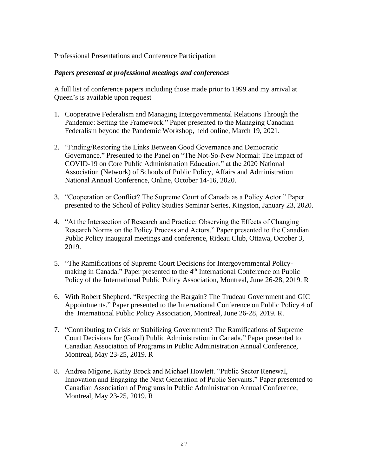## Professional Presentations and Conference Participation

## *Papers presented at professional meetings and conferences*

A full list of conference papers including those made prior to 1999 and my arrival at Queen's is available upon request

- 1. Cooperative Federalism and Managing Intergovernmental Relations Through the Pandemic: Setting the Framework." Paper presented to the Managing Canadian Federalism beyond the Pandemic Workshop, held online, March 19, 2021.
- 2. "Finding/Restoring the Links Between Good Governance and Democratic Governance." Presented to the Panel on "The Not-So-New Normal: The Impact of COVID-19 on Core Public Administration Education," at the 2020 National Association (Network) of Schools of Public Policy, Affairs and Administration National Annual Conference, Online, October 14-16, 2020.
- 3. "Cooperation or Conflict? The Supreme Court of Canada as a Policy Actor." Paper presented to the School of Policy Studies Seminar Series, Kingston, January 23, 2020.
- 4. "At the Intersection of Research and Practice: Observing the Effects of Changing Research Norms on the Policy Process and Actors." Paper presented to the Canadian Public Policy inaugural meetings and conference, Rideau Club, Ottawa, October 3, 2019.
- 5. "The Ramifications of Supreme Court Decisions for Intergovernmental Policymaking in Canada." Paper presented to the 4<sup>th</sup> International Conference on Public Policy of the International Public Policy Association, Montreal, June 26-28, 2019. R
- 6. With Robert Shepherd. "Respecting the Bargain? The Trudeau Government and GIC Appointments." Paper presented to the International Conference on Public Policy 4 of the International Public Policy Association, Montreal, June 26-28, 2019. R.
- 7. "Contributing to Crisis or Stabilizing Government? The Ramifications of Supreme Court Decisions for (Good) Public Administration in Canada." Paper presented to Canadian Association of Programs in Public Administration Annual Conference, Montreal, May 23-25, 2019. R
- 8. Andrea Migone, Kathy Brock and Michael Howlett. "Public Sector Renewal, Innovation and Engaging the Next Generation of Public Servants." Paper presented to Canadian Association of Programs in Public Administration Annual Conference, Montreal, May 23-25, 2019. R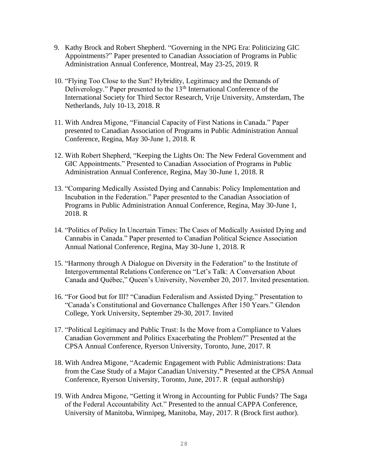- 9. Kathy Brock and Robert Shepherd. "Governing in the NPG Era: Politicizing GIC Appointments?" Paper presented to Canadian Association of Programs in Public Administration Annual Conference, Montreal, May 23-25, 2019. R
- 10. "Flying Too Close to the Sun? Hybridity, Legitimacy and the Demands of Deliverology." Paper presented to the 13<sup>th</sup> International Conference of the International Society for Third Sector Research, Vrije University, Amsterdam, The Netherlands, July 10-13, 2018. R
- 11. With Andrea Migone, "Financial Capacity of First Nations in Canada." Paper presented to Canadian Association of Programs in Public Administration Annual Conference, Regina, May 30-June 1, 2018. R
- 12. With Robert Shepherd, "Keeping the Lights On: The New Federal Government and GIC Appointments." Presented to Canadian Association of Programs in Public Administration Annual Conference, Regina, May 30-June 1, 2018. R
- 13. "Comparing Medically Assisted Dying and Cannabis: Policy Implementation and Incubation in the Federation." Paper presented to the Canadian Association of Programs in Public Administration Annual Conference, Regina, May 30-June 1, 2018. R
- 14. "Politics of Policy In Uncertain Times: The Cases of Medically Assisted Dying and Cannabis in Canada." Paper presented to Canadian Political Science Association Annual National Conference, Regina, May 30-June 1, 2018. R
- 15. "Harmony through A Dialogue on Diversity in the Federation" to the Institute of Intergovernmental Relations Conference on "Let's Talk: A Conversation About Canada and Québec," Queen's University, November 20, 2017. Invited presentation.
- 16. "For Good but for Ill? "Canadian Federalism and Assisted Dying." Presentation to "Canada's Constitutional and Governance Challenges After 150 Years." Glendon College, York University, September 29-30, 2017. Invited
- 17. "Political Legitimacy and Public Trust: Is the Move from a Compliance to Values Canadian Government and Politics Exacerbating the Problem?" Presented at the CPSA Annual Conference, Ryerson University, Toronto, June, 2017. R
- 18. With Andrea Migone, "Academic Engagement with Public Administrations: Data from the Case Study of a Major Canadian University.**"** Presented at the CPSA Annual Conference, Ryerson University, Toronto, June, 2017. R (equal authorship)
- 19. With Andrea Migone, "Getting it Wrong in Accounting for Public Funds? The Saga of the Federal Accountability Act." Presented to the annual CAPPA Conference, University of Manitoba, Winnipeg, Manitoba, May, 2017. R (Brock first author).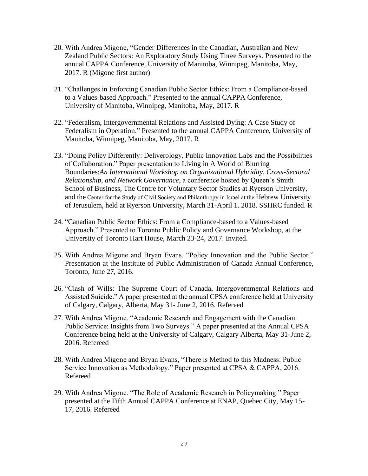- 20. With Andrea Migone, "Gender Differences in the Canadian, Australian and New Zealand Public Sectors: An Exploratory Study Using Three Surveys. Presented to the annual CAPPA Conference, University of Manitoba, Winnipeg, Manitoba, May, 2017. R (Migone first author)
- 21. "Challenges in Enforcing Canadian Public Sector Ethics: From a Compliance-based to a Values-based Approach." Presented to the annual CAPPA Conference, University of Manitoba, Winnipeg, Manitoba, May, 2017. R
- 22. "Federalism, Intergovernmental Relations and Assisted Dying: A Case Study of Federalism in Operation." Presented to the annual CAPPA Conference, University of Manitoba, Winnipeg, Manitoba, May, 2017. R
- 23. "Doing Policy Differently: Deliverology, Public Innovation Labs and the Possibilities of Collaboration." Paper presentation to Living in A World of Blurring Boundaries:*An International Workshop on Organizational Hybridity, Cross-Sectoral Relationship, and Network Governance*, a conference hosted by Queen's Smith School of Business, The Centre for Voluntary Sector Studies at Ryerson University, and the Center for the Study of Civil Society and Philanthropy in Israel at the Hebrew University of Jerusulem, held at Ryerson University, March 31-April 1. 2018. SSHRC funded. R
- 24. "Canadian Public Sector Ethics: From a Compliance-based to a Values-based Approach." Presented to Toronto Public Policy and Governance Workshop, at the University of Toronto Hart House, March 23-24, 2017. Invited.
- 25. With Andrea Migone and Bryan Evans. "Policy Innovation and the Public Sector." Presentation at the Institute of Public Administration of Canada Annual Conference, Toronto, June 27, 2016.
- 26. "Clash of Wills: The Supreme Court of Canada, Intergovernmental Relations and Assisted Suicide." A paper presented at the annual CPSA conference held at University of Calgary, Calgary, Alberta, May 31- June 2, 2016. Refereed
- 27. With Andrea Migone. "Academic Research and Engagement with the Canadian Public Service: Insights from Two Surveys." A paper presented at the Annual CPSA Conference being held at the University of Calgary, Calgary Alberta, May 31-June 2, 2016. Refereed
- 28. With Andrea Migone and Bryan Evans, "There is Method to this Madness: Public Service Innovation as Methodology." Paper presented at CPSA & CAPPA, 2016. Refereed
- 29. With Andrea Migone. "The Role of Academic Research in Policymaking." Paper presented at the Fifth Annual CAPPA Conference at ENAP, Quebec City, May 15- 17, 2016. Refereed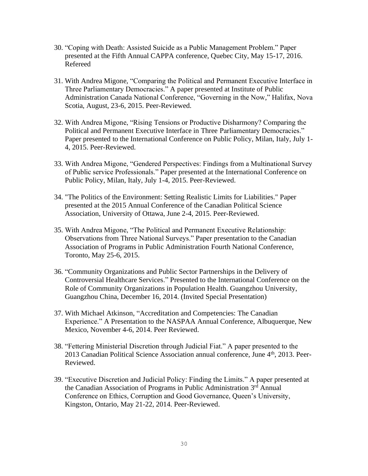- 30. "Coping with Death: Assisted Suicide as a Public Management Problem." Paper presented at the Fifth Annual CAPPA conference, Quebec City, May 15-17, 2016. Refereed
- 31. With Andrea Migone, "Comparing the Political and Permanent Executive Interface in Three Parliamentary Democracies." A paper presented at Institute of Public Administration Canada National Conference, "Governing in the Now," Halifax, Nova Scotia, August, 23-6, 2015. Peer-Reviewed.
- 32. With Andrea Migone, "Rising Tensions or Productive Disharmony? Comparing the Political and Permanent Executive Interface in Three Parliamentary Democracies." Paper presented to the International Conference on Public Policy, Milan, Italy, July 1- 4, 2015. Peer-Reviewed.
- 33. With Andrea Migone, "Gendered Perspectives: Findings from a Multinational Survey of Public service Professionals." Paper presented at the International Conference on Public Policy, Milan, Italy, July 1-4, 2015. Peer-Reviewed.
- 34. "The Politics of the Environment: Setting Realistic Limits for Liabilities." Paper presented at the 2015 Annual Conference of the Canadian Political Science Association, University of Ottawa, June 2-4, 2015. Peer-Reviewed.
- 35. With Andrea Migone, "The Political and Permanent Executive Relationship: Observations from Three National Surveys." Paper presentation to the Canadian Association of Programs in Public Administration Fourth National Conference, Toronto, May 25-6, 2015.
- 36. "Community Organizations and Public Sector Partnerships in the Delivery of Controversial Healthcare Services." Presented to the International Conference on the Role of Community Organizations in Population Health. Guangzhou University, Guangzhou China, December 16, 2014. (Invited Special Presentation)
- 37. With Michael Atkinson, "Accreditation and Competencies: The Canadian Experience." A Presentation to the NASPAA Annual Conference, Albuquerque, New Mexico, November 4-6, 2014. Peer Reviewed.
- 38. "Fettering Ministerial Discretion through Judicial Fiat." A paper presented to the 2013 Canadian Political Science Association annual conference, June 4<sup>th</sup>, 2013. Peer-Reviewed.
- 39. "Executive Discretion and Judicial Policy: Finding the Limits." A paper presented at the Canadian Association of Programs in Public Administration 3rd Annual Conference on Ethics, Corruption and Good Governance, Queen's University, Kingston, Ontario, May 21-22, 2014. Peer-Reviewed.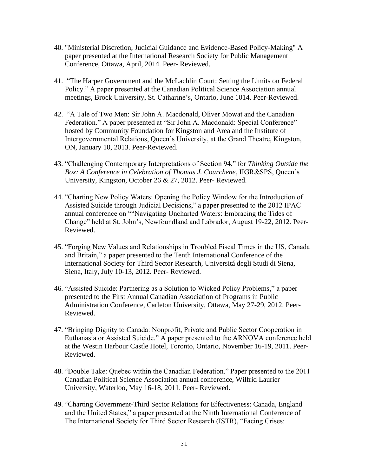- 40. "Ministerial Discretion, Judicial Guidance and Evidence-Based Policy-Making" A paper presented at the International Research Society for Public Management Conference, Ottawa, April, 2014. Peer- Reviewed.
- 41. "The Harper Government and the McLachlin Court: Setting the Limits on Federal Policy." A paper presented at the Canadian Political Science Association annual meetings, Brock University, St. Catharine's, Ontario, June 1014. Peer-Reviewed.
- 42. "A Tale of Two Men: Sir John A. Macdonald, Oliver Mowat and the Canadian Federation." A paper presented at "Sir John A. Macdonald: Special Conference" hosted by Community Foundation for Kingston and Area and the Institute of Intergovernmental Relations, Queen's University, at the Grand Theatre, Kingston, ON, January 10, 2013. Peer-Reviewed.
- 43. "Challenging Contemporary Interpretations of Section 94," for *Thinking Outside the Box: A Conference in Celebration of Thomas J. Courchene*, IIGR&SPS, Queen's University, Kingston, October 26 & 27, 2012. Peer- Reviewed.
- 44. "Charting New Policy Waters: Opening the Policy Window for the Introduction of Assisted Suicide through Judicial Decisions," a paper presented to the 2012 IPAC annual conference on ""Navigating Uncharted Waters: Embracing the Tides of Change" held at St. John's, Newfoundland and Labrador, August 19-22, 2012. Peer-Reviewed.
- 45. "Forging New Values and Relationships in Troubled Fiscal Times in the US, Canada and Britain," a paper presented to the Tenth International Conference of the International Society for Third Sector Research, Universitá degli Studi di Siena, Siena, Italy, July 10-13, 2012. Peer- Reviewed.
- 46. "Assisted Suicide: Partnering as a Solution to Wicked Policy Problems," a paper presented to the First Annual Canadian Association of Programs in Public Administration Conference, Carleton University, Ottawa, May 27-29, 2012. Peer-Reviewed.
- 47. "Bringing Dignity to Canada: Nonprofit, Private and Public Sector Cooperation in Euthanasia or Assisted Suicide." A paper presented to the ARNOVA conference held at the Westin Harbour Castle Hotel, Toronto, Ontario, November 16-19, 2011. Peer-Reviewed.
- 48. "Double Take: Quebec within the Canadian Federation." Paper presented to the 2011 Canadian Political Science Association annual conference, Wilfrid Laurier University, Waterloo, May 16-18, 2011. Peer- Reviewed.
- 49. "Charting Government-Third Sector Relations for Effectiveness: Canada, England and the United States," a paper presented at the Ninth International Conference of The International Society for Third Sector Research (ISTR), "Facing Crises: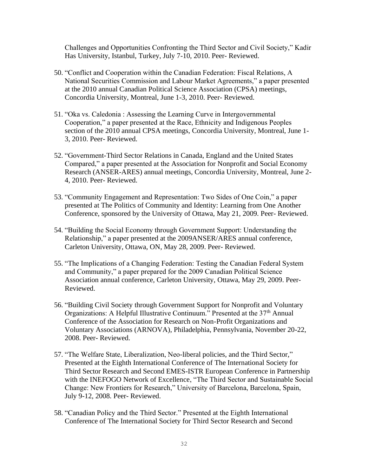Challenges and Opportunities Confronting the Third Sector and Civil Society," Kadir Has University, Istanbul, Turkey, July 7-10, 2010. Peer- Reviewed.

- 50. "Conflict and Cooperation within the Canadian Federation: Fiscal Relations, A National Securities Commission and Labour Market Agreements," a paper presented at the 2010 annual Canadian Political Science Association (CPSA) meetings, Concordia University, Montreal, June 1-3, 2010. Peer- Reviewed.
- 51. "Oka vs. Caledonia : Assessing the Learning Curve in Intergovernmental Cooperation," a paper presented at the Race, Ethnicity and Indigenous Peoples section of the 2010 annual CPSA meetings, Concordia University, Montreal, June 1- 3, 2010. Peer- Reviewed.
- 52. "Government-Third Sector Relations in Canada, England and the United States Compared," a paper presented at the Association for Nonprofit and Social Economy Research (ANSER-ARES) annual meetings, Concordia University, Montreal, June 2- 4, 2010. Peer- Reviewed.
- 53. "Community Engagement and Representation: Two Sides of One Coin," a paper presented at The Politics of Community and Identity: Learning from One Another Conference, sponsored by the University of Ottawa, May 21, 2009. Peer- Reviewed.
- 54. "Building the Social Economy through Government Support: Understanding the Relationship," a paper presented at the 2009ANSER/ARES annual conference, Carleton University, Ottawa, ON, May 28, 2009. Peer- Reviewed.
- 55. "The Implications of a Changing Federation: Testing the Canadian Federal System and Community," a paper prepared for the 2009 Canadian Political Science Association annual conference, Carleton University, Ottawa, May 29, 2009. Peer-Reviewed.
- 56. "Building Civil Society through Government Support for Nonprofit and Voluntary Organizations: A Helpful Illustrative Continuum." Presented at the 37<sup>th</sup> Annual Conference of the Association for Research on Non-Profit Organizations and Voluntary Associations (ARNOVA), Philadelphia, Pennsylvania, November 20-22, 2008. Peer- Reviewed.
- 57. "The Welfare State, Liberalization, Neo-liberal policies, and the Third Sector," Presented at the Eighth International Conference of The International Society for Third Sector Research and Second EMES-ISTR European Conference in Partnership with the INEFOGO Network of Excellence, "The Third Sector and Sustainable Social Change: New Frontiers for Research," University of Barcelona, Barcelona, Spain, July 9-12, 2008. Peer- Reviewed.
- 58. "Canadian Policy and the Third Sector." Presented at the Eighth International Conference of The International Society for Third Sector Research and Second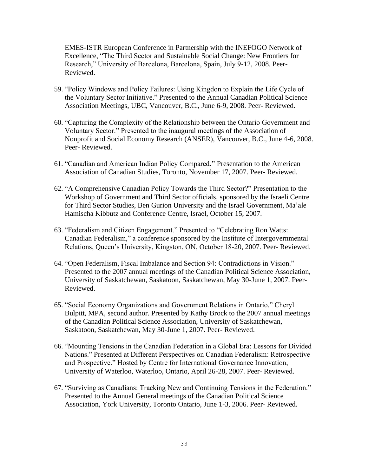EMES-ISTR European Conference in Partnership with the INEFOGO Network of Excellence, "The Third Sector and Sustainable Social Change: New Frontiers for Research," University of Barcelona, Barcelona, Spain, July 9-12, 2008. Peer-Reviewed.

- 59. "Policy Windows and Policy Failures: Using Kingdon to Explain the Life Cycle of the Voluntary Sector Initiative." Presented to the Annual Canadian Political Science Association Meetings, UBC, Vancouver, B.C., June 6-9, 2008. Peer- Reviewed.
- 60. "Capturing the Complexity of the Relationship between the Ontario Government and Voluntary Sector." Presented to the inaugural meetings of the Association of Nonprofit and Social Economy Research (ANSER), Vancouver, B.C., June 4-6, 2008. Peer- Reviewed.
- 61. "Canadian and American Indian Policy Compared." Presentation to the American Association of Canadian Studies, Toronto, November 17, 2007. Peer- Reviewed.
- 62. "A Comprehensive Canadian Policy Towards the Third Sector?" Presentation to the Workshop of Government and Third Sector officials, sponsored by the Israeli Centre for Third Sector Studies, Ben Gurion University and the Israel Government, Ma'ale Hamischa Kibbutz and Conference Centre, Israel, October 15, 2007.
- 63. "Federalism and Citizen Engagement." Presented to "Celebrating Ron Watts: Canadian Federalism," a conference sponsored by the Institute of Intergovernmental Relations, Queen's University, Kingston, ON, October 18-20, 2007. Peer- Reviewed.
- 64. "Open Federalism, Fiscal Imbalance and Section 94: Contradictions in Vision." Presented to the 2007 annual meetings of the Canadian Political Science Association, University of Saskatchewan, Saskatoon, Saskatchewan, May 30-June 1, 2007. Peer-Reviewed.
- 65. "Social Economy Organizations and Government Relations in Ontario." Cheryl Bulpitt, MPA, second author. Presented by Kathy Brock to the 2007 annual meetings of the Canadian Political Science Association, University of Saskatchewan, Saskatoon, Saskatchewan, May 30-June 1, 2007. Peer- Reviewed.
- 66. "Mounting Tensions in the Canadian Federation in a Global Era: Lessons for Divided Nations." Presented at Different Perspectives on Canadian Federalism: Retrospective and Prospective." Hosted by Centre for International Governance Innovation, University of Waterloo, Waterloo, Ontario, April 26-28, 2007. Peer- Reviewed.
- 67. "Surviving as Canadians: Tracking New and Continuing Tensions in the Federation." Presented to the Annual General meetings of the Canadian Political Science Association, York University, Toronto Ontario, June 1-3, 2006. Peer- Reviewed.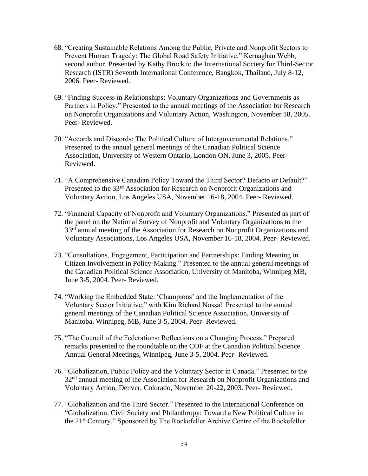- 68. "Creating Sustainable Relations Among the Public, Private and Nonprofit Sectors to Prevent Human Tragedy: The Global Road Safety Initiative." Kernaghan Webb, second author. Presented by Kathy Brock to the International Society for Third-Sector Research (ISTR) Seventh International Conference, Bangkok, Thailand, July 8-12, 2006. Peer- Reviewed.
- 69. "Finding Success in Relationships: Voluntary Organizations and Governments as Partners in Policy." Presented to the annual meetings of the Association for Research on Nonprofit Organizations and Voluntary Action, Washington, November 18, 2005. Peer- Reviewed.
- 70. "Accords and Discords: The Political Culture of Intergovernmental Relations." Presented to the annual general meetings of the Canadian Political Science Association, University of Western Ontario, London ON, June 3, 2005. Peer-Reviewed.
- 71. "A Comprehensive Canadian Policy Toward the Third Sector? Defacto or Default?" Presented to the 33<sup>rd</sup> Association for Research on Nonprofit Organizations and Voluntary Action, Los Angeles USA, November 16-18, 2004. Peer- Reviewed.
- 72. "Financial Capacity of Nonprofit and Voluntary Organizations." Presented as part of the panel on the National Survey of Nonprofit and Voluntary Organizations to the 33<sup>rd</sup> annual meeting of the Association for Research on Nonprofit Organizations and Voluntary Associations, Los Angeles USA, November 16-18, 2004. Peer- Reviewed.
- 73. "Consultations, Engagement, Participation and Partnerships: Finding Meaning in Citizen Involvement in Policy-Making." Presented to the annual general meetings of the Canadian Political Science Association, University of Manitoba, Winnipeg MB, June 3-5, 2004. Peer- Reviewed.
- 74. "Working the Embedded State: 'Champions' and the Implementation of the Voluntary Sector Initiative," with Kim Richard Nossal. Presented to the annual general meetings of the Canadian Political Science Association, University of Manitoba, Winnipeg, MB, June 3-5, 2004. Peer- Reviewed.
- 75. "The Council of the Federations: Reflections on a Changing Process." Prepared remarks presented to the roundtable on the COF at the Canadian Political Science Annual General Meetings, Winnipeg, June 3-5, 2004. Peer- Reviewed.
- 76. "Globalization, Public Policy and the Voluntary Sector in Canada." Presented to the 32<sup>nd</sup> annual meeting of the Association for Research on Nonprofit Organizations and Voluntary Action, Denver, Colorado, November 20-22, 2003. Peer- Reviewed.
- 77. "Globalization and the Third Sector." Presented to the International Conference on "Globalization, Civil Society and Philanthropy: Toward a New Political Culture in the 21st Century." Sponsored by The Rockefeller Archive Centre of the Rockefeller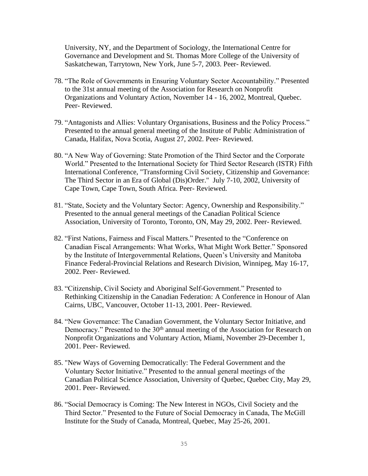University, NY, and the Department of Sociology, the International Centre for Governance and Development and St. Thomas More College of the University of Saskatchewan, Tarrytown, New York, June 5-7, 2003. Peer- Reviewed.

- 78. "The Role of Governments in Ensuring Voluntary Sector Accountability." Presented to the 31st annual meeting of the Association for Research on Nonprofit Organizations and Voluntary Action, November 14 - 16, 2002, Montreal, Quebec. Peer- Reviewed.
- 79. "Antagonists and Allies: Voluntary Organisations, Business and the Policy Process." Presented to the annual general meeting of the Institute of Public Administration of Canada, Halifax, Nova Scotia, August 27, 2002. Peer- Reviewed.
- 80. "A New Way of Governing: State Promotion of the Third Sector and the Corporate World." Presented to the International Society for Third Sector Research (ISTR) Fifth International Conference, "Transforming Civil Society, Citizenship and Governance: The Third Sector in an Era of Global (Dis)Order." July 7-10, 2002, University of Cape Town, Cape Town, South Africa. Peer- Reviewed.
- 81. "State, Society and the Voluntary Sector: Agency, Ownership and Responsibility." Presented to the annual general meetings of the Canadian Political Science Association, University of Toronto, Toronto, ON, May 29, 2002. Peer- Reviewed.
- 82. "First Nations, Fairness and Fiscal Matters." Presented to the "Conference on Canadian Fiscal Arrangements: What Works, What Might Work Better." Sponsored by the Institute of Intergovernmental Relations, Queen's University and Manitoba Finance Federal-Provincial Relations and Research Division, Winnipeg, May 16-17, 2002. Peer- Reviewed.
- 83. "Citizenship, Civil Society and Aboriginal Self-Government." Presented to Rethinking Citizenship in the Canadian Federation: A Conference in Honour of Alan Cairns, UBC, Vancouver, October 11-13, 2001. Peer- Reviewed.
- 84. "New Governance: The Canadian Government, the Voluntary Sector Initiative, and Democracy." Presented to the 30<sup>th</sup> annual meeting of the Association for Research on Nonprofit Organizations and Voluntary Action, Miami, November 29-December 1, 2001. Peer- Reviewed.
- 85. "New Ways of Governing Democratically: The Federal Government and the Voluntary Sector Initiative." Presented to the annual general meetings of the Canadian Political Science Association, University of Quebec, Quebec City, May 29, 2001. Peer- Reviewed.
- 86. "Social Democracy is Coming: The New Interest in NGOs, Civil Society and the Third Sector." Presented to the Future of Social Democracy in Canada, The McGill Institute for the Study of Canada, Montreal, Quebec, May 25-26, 2001.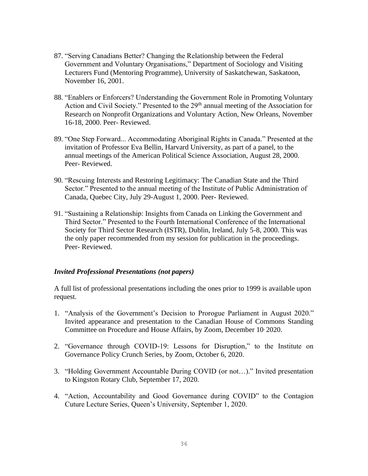- 87. "Serving Canadians Better? Changing the Relationship between the Federal Government and Voluntary Organisations," Department of Sociology and Visiting Lecturers Fund (Mentoring Programme), University of Saskatchewan, Saskatoon, November 16, 2001.
- 88. "Enablers or Enforcers? Understanding the Government Role in Promoting Voluntary Action and Civil Society." Presented to the 29<sup>th</sup> annual meeting of the Association for Research on Nonprofit Organizations and Voluntary Action, New Orleans, November 16-18, 2000. Peer- Reviewed.
- 89. "One Step Forward... Accommodating Aboriginal Rights in Canada." Presented at the invitation of Professor Eva Bellin, Harvard University, as part of a panel, to the annual meetings of the American Political Science Association, August 28, 2000. Peer- Reviewed.
- 90. "Rescuing Interests and Restoring Legitimacy: The Canadian State and the Third Sector." Presented to the annual meeting of the Institute of Public Administration of Canada, Quebec City, July 29-August 1, 2000. Peer- Reviewed.
- 91. "Sustaining a Relationship: Insights from Canada on Linking the Government and Third Sector." Presented to the Fourth International Conference of the International Society for Third Sector Research (ISTR), Dublin, Ireland, July 5-8, 2000. This was the only paper recommended from my session for publication in the proceedings. Peer- Reviewed.

## *Invited Professional Presentations (not papers)*

A full list of professional presentations including the ones prior to 1999 is available upon request.

- 1. "Analysis of the Government's Decision to Prorogue Parliament in August 2020." Invited appearance and presentation to the Canadian House of Commons Standing Committee on Procedure and House Affairs, by Zoom, December 10, 2020.
- 2. "Governance through COVID-19: Lessons for Disruption," to the Institute on Governance Policy Crunch Series, by Zoom, October 6, 2020.
- 3. "Holding Government Accountable During COVID (or not…)." Invited presentation to Kingston Rotary Club, September 17, 2020.
- 4. "Action, Accountability and Good Governance during COVID" to the Contagion Cuture Lecture Series, Queen's University, September 1, 2020.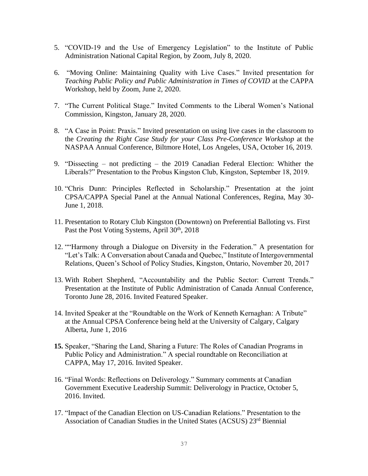- 5. "COVID-19 and the Use of Emergency Legislation" to the Institute of Public Administration National Capital Region, by Zoom, July 8, 2020.
- 6. "Moving Online: Maintaining Quality with Live Cases." Invited presentation for *Teaching Public Policy and Public Administration in Times of COVID* at the CAPPA Workshop, held by Zoom, June 2, 2020.
- 7. "The Current Political Stage." Invited Comments to the Liberal Women's National Commission, Kingston, January 28, 2020.
- 8. "A Case in Point: Praxis." Invited presentation on using live cases in the classroom to the *Creating the Right Case Study for your Class Pre-Conference Workshop* at the NASPAA Annual Conference, Biltmore Hotel, Los Angeles, USA, October 16, 2019.
- 9. "Dissecting not predicting the 2019 Canadian Federal Election: Whither the Liberals?" Presentation to the Probus Kingston Club, Kingston, September 18, 2019.
- 10. "Chris Dunn: Principles Reflected in Scholarship." Presentation at the joint CPSA/CAPPA Special Panel at the Annual National Conferences, Regina, May 30- June 1, 2018.
- 11. Presentation to Rotary Club Kingston (Downtown) on Preferential Balloting vs. First Past the Post Voting Systems, April 30<sup>th</sup>, 2018
- 12. ""Harmony through a Dialogue on Diversity in the Federation." A presentation for "Let's Talk: A Conversation about Canada and Quebec," Institute of Intergovernmental Relations, Queen's School of Policy Studies, Kingston, Ontario, November 20, 2017
- 13. With Robert Shepherd, "Accountability and the Public Sector: Current Trends." Presentation at the Institute of Public Administration of Canada Annual Conference, Toronto June 28, 2016. Invited Featured Speaker.
- 14. Invited Speaker at the "Roundtable on the Work of Kenneth Kernaghan: A Tribute" at the Annual CPSA Conference being held at the University of Calgary, Calgary Alberta, June 1, 2016
- **15.** Speaker, "Sharing the Land, Sharing a Future: The Roles of Canadian Programs in Public Policy and Administration." A special roundtable on Reconciliation at CAPPA, May 17, 2016. Invited Speaker.
- 16. "Final Words: Reflections on Deliverology." Summary comments at Canadian Government Executive Leadership Summit: Deliverology in Practice, October 5, 2016. Invited.
- 17. "Impact of the Canadian Election on US-Canadian Relations." Presentation to the Association of Canadian Studies in the United States (ACSUS) 23rd Biennial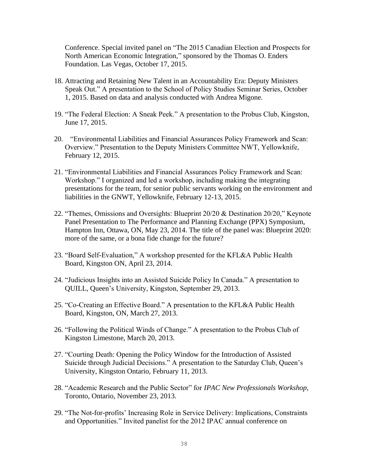Conference. Special invited panel on "The 2015 Canadian Election and Prospects for North American Economic Integration," sponsored by the Thomas O. Enders Foundation. Las Vegas, October 17, 2015.

- 18. Attracting and Retaining New Talent in an Accountability Era: Deputy Ministers Speak Out." A presentation to the School of Policy Studies Seminar Series, October 1, 2015. Based on data and analysis conducted with Andrea Migone.
- 19. "The Federal Election: A Sneak Peek." A presentation to the Probus Club, Kingston, June 17, 2015.
- 20. "Environmental Liabilities and Financial Assurances Policy Framework and Scan: Overview." Presentation to the Deputy Ministers Committee NWT, Yellowknife, February 12, 2015.
- 21. "Environmental Liabilities and Financial Assurances Policy Framework and Scan: Workshop." I organized and led a workshop, including making the integrating presentations for the team, for senior public servants working on the environment and liabilities in the GNWT, Yellowknife, February 12-13, 2015.
- 22. "Themes, Omissions and Oversights: Blueprint 20/20 & Destination 20/20," Keynote Panel Presentation to The Performance and Planning Exchange (PPX) Symposium, Hampton Inn, Ottawa, ON, May 23, 2014. The title of the panel was: Blueprint 2020: more of the same, or a bona fide change for the future?
- 23. "Board Self-Evaluation," A workshop presented for the KFL&A Public Health Board, Kingston ON, April 23, 2014.
- 24. "Judicious Insights into an Assisted Suicide Policy In Canada." A presentation to QUILL, Queen's University, Kingston, September 29, 2013.
- 25. "Co-Creating an Effective Board." A presentation to the KFL&A Public Health Board, Kingston, ON, March 27, 2013.
- 26. "Following the Political Winds of Change." A presentation to the Probus Club of Kingston Limestone, March 20, 2013.
- 27. "Courting Death: Opening the Policy Window for the Introduction of Assisted Suicide through Judicial Decisions." A presentation to the Saturday Club, Queen's University, Kingston Ontario, February 11, 2013.
- 28. "Academic Research and the Public Sector" for *IPAC New Professionals Workshop,* Toronto, Ontario, November 23, 2013.
- 29. "The Not-for-profits' Increasing Role in Service Delivery: Implications, Constraints and Opportunities." Invited panelist for the 2012 IPAC annual conference on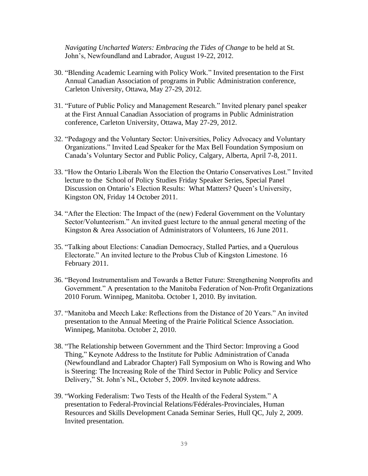*Navigating Uncharted Waters: Embracing the Tides of Change* to be held at St. John's, Newfoundland and Labrador, August 19-22, 2012.

- 30. "Blending Academic Learning with Policy Work." Invited presentation to the First Annual Canadian Association of programs in Public Administration conference, Carleton University, Ottawa, May 27-29, 2012.
- 31. "Future of Public Policy and Management Research." Invited plenary panel speaker at the First Annual Canadian Association of programs in Public Administration conference, Carleton University, Ottawa, May 27-29, 2012.
- 32. "Pedagogy and the Voluntary Sector: Universities, Policy Advocacy and Voluntary Organizations." Invited Lead Speaker for the Max Bell Foundation Symposium on Canada's Voluntary Sector and Public Policy, Calgary, Alberta, April 7-8, 2011.
- 33. "How the Ontario Liberals Won the Election the Ontario Conservatives Lost." Invited lecture to the School of Policy Studies Friday Speaker Series, Special Panel Discussion on Ontario's Election Results: What Matters? Queen's University, Kingston ON, Friday 14 October 2011.
- 34. "After the Election: The Impact of the (new) Federal Government on the Voluntary Sector/Volunteerism." An invited guest lecture to the annual general meeting of the Kingston & Area Association of Administrators of Volunteers, 16 June 2011.
- 35. "Talking about Elections: Canadian Democracy, Stalled Parties, and a Querulous Electorate." An invited lecture to the Probus Club of Kingston Limestone. 16 February 2011.
- 36. "Beyond Instrumentalism and Towards a Better Future: Strengthening Nonprofits and Government." A presentation to the Manitoba Federation of Non-Profit Organizations 2010 Forum. Winnipeg, Manitoba. October 1, 2010. By invitation.
- 37. "Manitoba and Meech Lake: Reflections from the Distance of 20 Years." An invited presentation to the Annual Meeting of the Prairie Political Science Association. Winnipeg, Manitoba. October 2, 2010.
- 38. "The Relationship between Government and the Third Sector: Improving a Good Thing," Keynote Address to the Institute for Public Administration of Canada (Newfoundland and Labrador Chapter) Fall Symposium on Who is Rowing and Who is Steering: The Increasing Role of the Third Sector in Public Policy and Service Delivery," St. John's NL, October 5, 2009. Invited keynote address.
- 39. "Working Federalism: Two Tests of the Health of the Federal System." A presentation to Federal-Provincial Relations/Fédérales-Provinciales, Human Resources and Skills Development Canada Seminar Series, Hull QC, July 2, 2009. Invited presentation.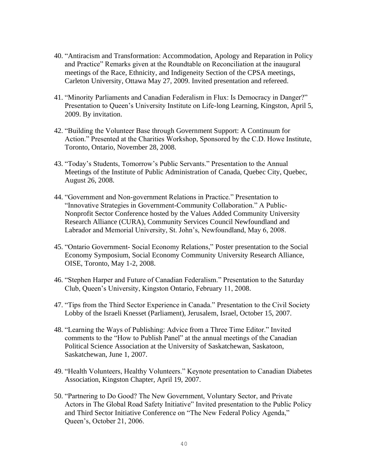- 40. "Antiracism and Transformation: Accommodation, Apology and Reparation in Policy and Practice" Remarks given at the Roundtable on Reconciliation at the inaugural meetings of the Race, Ethnicity, and Indigeneity Section of the CPSA meetings, Carleton University, Ottawa May 27, 2009. Invited presentation and refereed.
- 41. "Minority Parliaments and Canadian Federalism in Flux: Is Democracy in Danger?" Presentation to Queen's University Institute on Life-long Learning, Kingston, April 5, 2009. By invitation.
- 42. "Building the Volunteer Base through Government Support: A Continuum for Action." Presented at the Charities Workshop, Sponsored by the C.D. Howe Institute, Toronto, Ontario, November 28, 2008.
- 43. "Today's Students, Tomorrow's Public Servants." Presentation to the Annual Meetings of the Institute of Public Administration of Canada, Quebec City, Quebec, August 26, 2008.
- 44. "Government and Non-government Relations in Practice." Presentation to "Innovative Strategies in Government-Community Collaboration." A Public-Nonprofit Sector Conference hosted by the Values Added Community University Research Alliance (CURA), Community Services Council Newfoundland and Labrador and Memorial University, St. John's, Newfoundland, May 6, 2008.
- 45. "Ontario Government- Social Economy Relations," Poster presentation to the Social Economy Symposium, Social Economy Community University Research Alliance, OISE, Toronto, May 1-2, 2008.
- 46. "Stephen Harper and Future of Canadian Federalism." Presentation to the Saturday Club, Queen's University, Kingston Ontario, February 11, 2008.
- 47. "Tips from the Third Sector Experience in Canada." Presentation to the Civil Society Lobby of the Israeli Knesset (Parliament), Jerusalem, Israel, October 15, 2007.
- 48. "Learning the Ways of Publishing: Advice from a Three Time Editor." Invited comments to the "How to Publish Panel" at the annual meetings of the Canadian Political Science Association at the University of Saskatchewan, Saskatoon, Saskatchewan, June 1, 2007.
- 49. "Health Volunteers, Healthy Volunteers." Keynote presentation to Canadian Diabetes Association, Kingston Chapter, April 19, 2007.
- 50. "Partnering to Do Good? The New Government, Voluntary Sector, and Private Actors in The Global Road Safety Initiative" Invited presentation to the Public Policy and Third Sector Initiative Conference on "The New Federal Policy Agenda," Queen's, October 21, 2006.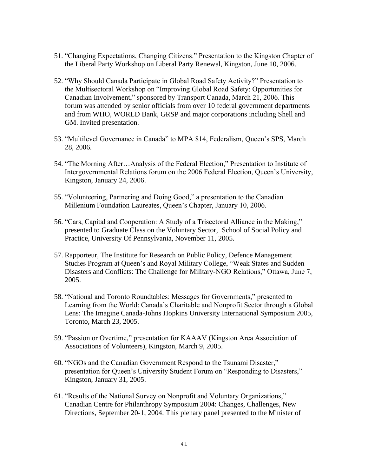- 51. "Changing Expectations, Changing Citizens." Presentation to the Kingston Chapter of the Liberal Party Workshop on Liberal Party Renewal, Kingston, June 10, 2006.
- 52. "Why Should Canada Participate in Global Road Safety Activity?" Presentation to the Multisectoral Workshop on "Improving Global Road Safety: Opportunities for Canadian Involvement," sponsored by Transport Canada, March 21, 2006. This forum was attended by senior officials from over 10 federal government departments and from WHO, WORLD Bank, GRSP and major corporations including Shell and GM. Invited presentation.
- 53. "Multilevel Governance in Canada" to MPA 814, Federalism, Queen's SPS, March 28, 2006.
- 54. "The Morning After…Analysis of the Federal Election," Presentation to Institute of Intergovernmental Relations forum on the 2006 Federal Election, Queen's University, Kingston, January 24, 2006.
- 55. "Volunteering, Partnering and Doing Good," a presentation to the Canadian Millenium Foundation Laureates, Queen's Chapter, January 10, 2006.
- 56. "Cars, Capital and Cooperation: A Study of a Trisectoral Alliance in the Making," presented to Graduate Class on the Voluntary Sector, School of Social Policy and Practice, University Of Pennsylvania, November 11, 2005.
- 57. Rapporteur, The Institute for Research on Public Policy, Defence Management Studies Program at Queen's and Royal Military College, "Weak States and Sudden Disasters and Conflicts: The Challenge for Military-NGO Relations," Ottawa, June 7, 2005.
- 58. "National and Toronto Roundtables: Messages for Governments," presented to Learning from the World: Canada's Charitable and Nonprofit Sector through a Global Lens: The Imagine Canada-Johns Hopkins University International Symposium 2005, Toronto, March 23, 2005.
- 59. "Passion or Overtime," presentation for KAAAV (Kingston Area Association of Associations of Volunteers), Kingston, March 9, 2005.
- 60. "NGOs and the Canadian Government Respond to the Tsunami Disaster," presentation for Queen's University Student Forum on "Responding to Disasters," Kingston, January 31, 2005.
- 61. "Results of the National Survey on Nonprofit and Voluntary Organizations," Canadian Centre for Philanthropy Symposium 2004: Changes, Challenges, New Directions, September 20-1, 2004. This plenary panel presented to the Minister of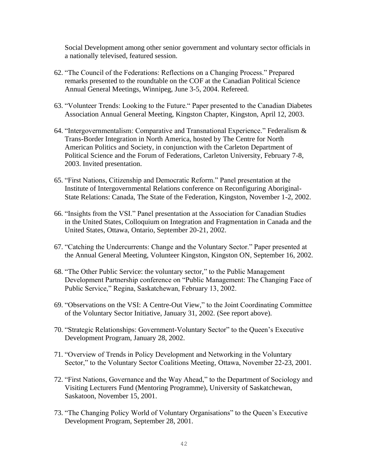Social Development among other senior government and voluntary sector officials in a nationally televised, featured session.

- 62. "The Council of the Federations: Reflections on a Changing Process." Prepared remarks presented to the roundtable on the COF at the Canadian Political Science Annual General Meetings, Winnipeg, June 3-5, 2004. Refereed.
- 63. "Volunteer Trends: Looking to the Future." Paper presented to the Canadian Diabetes Association Annual General Meeting, Kingston Chapter, Kingston, April 12, 2003.
- 64. "Intergovernmentalism: Comparative and Transnational Experience*.*" Federalism & Trans-Border Integration in North America, hosted by The Centre for North American Politics and Society, in conjunction with the Carleton Department of Political Science and the Forum of Federations, Carleton University, February 7-8, 2003. Invited presentation.
- 65. "First Nations, Citizenship and Democratic Reform." Panel presentation at the Institute of Intergovernmental Relations conference on Reconfiguring Aboriginal-State Relations: Canada, The State of the Federation, Kingston, November 1-2, 2002.
- 66. "Insights from the VSI." Panel presentation at the Association for Canadian Studies in the United States, Colloquium on Integration and Fragmentation in Canada and the United States, Ottawa, Ontario, September 20-21, 2002.
- 67. "Catching the Undercurrents: Change and the Voluntary Sector." Paper presented at the Annual General Meeting, Volunteer Kingston, Kingston ON, September 16, 2002.
- 68. "The Other Public Service: the voluntary sector," to the Public Management Development Partnership conference on "Public Management: The Changing Face of Public Service," Regina, Saskatchewan, February 13, 2002.
- 69. "Observations on the VSI: A Centre-Out View," to the Joint Coordinating Committee of the Voluntary Sector Initiative, January 31, 2002. (See report above).
- 70. "Strategic Relationships: Government-Voluntary Sector" to the Queen's Executive Development Program, January 28, 2002.
- 71. "Overview of Trends in Policy Development and Networking in the Voluntary Sector," to the Voluntary Sector Coalitions Meeting, Ottawa, November 22-23, 2001.
- 72. "First Nations, Governance and the Way Ahead," to the Department of Sociology and Visiting Lecturers Fund (Mentoring Programme), University of Saskatchewan, Saskatoon, November 15, 2001.
- 73. "The Changing Policy World of Voluntary Organisations" to the Queen's Executive Development Program, September 28, 2001.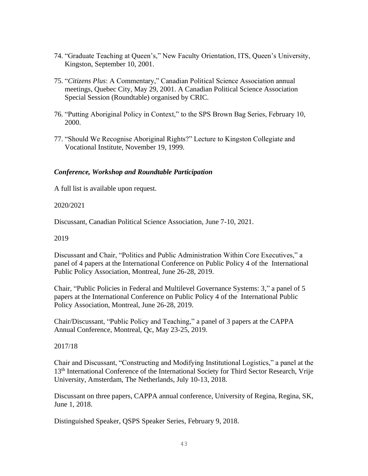- 74. "Graduate Teaching at Queen's," New Faculty Orientation, ITS, Queen's University, Kingston, September 10, 2001.
- 75. "*Citizens Plus*: A Commentary," Canadian Political Science Association annual meetings, Quebec City, May 29, 2001. A Canadian Political Science Association Special Session (Roundtable) organised by CRIC.
- 76. "Putting Aboriginal Policy in Context," to the SPS Brown Bag Series, February 10, 2000.
- 77. "Should We Recognise Aboriginal Rights?" Lecture to Kingston Collegiate and Vocational Institute, November 19, 1999.

## *Conference, Workshop and Roundtable Participation*

A full list is available upon request.

## 2020/2021

Discussant, Canadian Political Science Association, June 7-10, 2021.

## 2019

Discussant and Chair, "Politics and Public Administration Within Core Executives," a panel of 4 papers at the International Conference on Public Policy 4 of the International Public Policy Association, Montreal, June 26-28, 2019.

Chair, "Public Policies in Federal and Multilevel Governance Systems: 3," a panel of 5 papers at the International Conference on Public Policy 4 of the International Public Policy Association, Montreal, June 26-28, 2019.

Chair/Discussant, "Public Policy and Teaching," a panel of 3 papers at the CAPPA Annual Conference, Montreal, Qc, May 23-25, 2019.

## 2017/18

Chair and Discussant, "Constructing and Modifying Institutional Logistics," a panel at the 13th International Conference of the International Society for Third Sector Research, Vrije University, Amsterdam, The Netherlands, July 10-13, 2018.

Discussant on three papers, CAPPA annual conference, University of Regina, Regina, SK, June 1, 2018.

Distinguished Speaker, QSPS Speaker Series, February 9, 2018.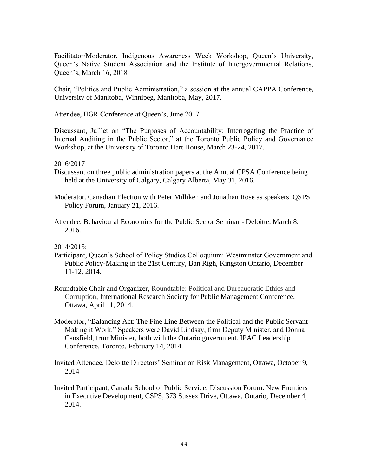Facilitator/Moderator, Indigenous Awareness Week Workshop, Queen's University, Queen's Native Student Association and the Institute of Intergovernmental Relations, Queen's, March 16, 2018

Chair, "Politics and Public Administration," a session at the annual CAPPA Conference, University of Manitoba, Winnipeg, Manitoba, May, 2017.

Attendee, IIGR Conference at Queen's, June 2017.

Discussant, Juillet on "The Purposes of Accountability: Interrogating the Practice of Internal Auditing in the Public Sector," at the Toronto Public Policy and Governance Workshop, at the University of Toronto Hart House, March 23-24, 2017.

#### 2016/2017

- Discussant on three public administration papers at the Annual CPSA Conference being held at the University of Calgary, Calgary Alberta, May 31, 2016.
- Moderator. Canadian Election with Peter Milliken and Jonathan Rose as speakers. QSPS Policy Forum, January 21, 2016.
- Attendee. Behavioural Economics for the Public Sector Seminar Deloitte. March 8, 2016.

2014/2015:

- Participant, Queen's School of Policy Studies Colloquium: Westminster Government and Public Policy-Making in the 21st Century, Ban Righ, Kingston Ontario, December 11-12, 2014.
- Roundtable Chair and Organizer, Roundtable: Political and Bureaucratic Ethics and Corruption, International Research Society for Public Management Conference, Ottawa, April 11, 2014.
- Moderator, "Balancing Act: The Fine Line Between the Political and the Public Servant Making it Work." Speakers were David Lindsay, frmr Deputy Minister, and Donna Cansfield, frmr Minister, both with the Ontario government. IPAC Leadership Conference, Toronto, February 14, 2014.
- Invited Attendee, Deloitte Directors' Seminar on Risk Management, Ottawa, October 9, 2014
- Invited Participant, Canada School of Public Service, Discussion Forum: New Frontiers in Executive Development, CSPS, 373 Sussex Drive, Ottawa, Ontario, December 4, 2014.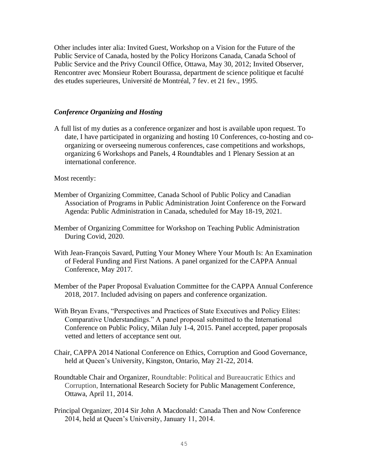Other includes inter alia: Invited Guest, Workshop on a Vision for the Future of the Public Service of Canada, hosted by the Policy Horizons Canada, Canada School of Public Service and the Privy Council Office, Ottawa, May 30, 2012; Invited Observer, Rencontrer avec Monsieur Robert Bourassa, department de science politique et faculté des etudes superieures, Université de Montréal, 7 fev. et 21 fev., 1995.

#### *Conference Organizing and Hosting*

A full list of my duties as a conference organizer and host is available upon request. To date, I have participated in organizing and hosting 10 Conferences, co-hosting and coorganizing or overseeing numerous conferences, case competitions and workshops, organizing 6 Workshops and Panels, 4 Roundtables and 1 Plenary Session at an international conference.

Most recently:

- Member of Organizing Committee, Canada School of Public Policy and Canadian Association of Programs in Public Administration Joint Conference on the Forward Agenda: Public Administration in Canada, scheduled for May 18-19, 2021.
- Member of Organizing Committee for Workshop on Teaching Public Administration During Covid, 2020.
- With Jean-François Savard, Putting Your Money Where Your Mouth Is: An Examination of Federal Funding and First Nations. A panel organized for the CAPPA Annual Conference, May 2017.
- Member of the Paper Proposal Evaluation Committee for the CAPPA Annual Conference 2018, 2017. Included advising on papers and conference organization.
- With Bryan Evans, "Perspectives and Practices of State Executives and Policy Elites: Comparative Understandings." A panel proposal submitted to the International Conference on Public Policy, Milan July 1-4, 2015. Panel accepted, paper proposals vetted and letters of acceptance sent out.
- Chair, CAPPA 2014 National Conference on Ethics, Corruption and Good Governance, held at Queen's University, Kingston, Ontario, May 21-22, 2014.
- Roundtable Chair and Organizer, Roundtable: Political and Bureaucratic Ethics and Corruption, International Research Society for Public Management Conference, Ottawa, April 11, 2014.
- Principal Organizer, 2014 Sir John A Macdonald: Canada Then and Now Conference 2014, held at Queen's University, January 11, 2014.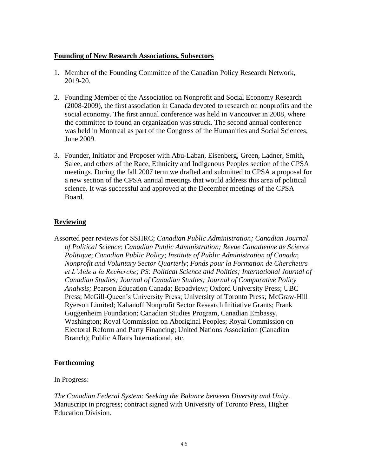## **Founding of New Research Associations, Subsectors**

- 1. Member of the Founding Committee of the Canadian Policy Research Network, 2019-20.
- 2. Founding Member of the Association on Nonprofit and Social Economy Research (2008-2009), the first association in Canada devoted to research on nonprofits and the social economy. The first annual conference was held in Vancouver in 2008, where the committee to found an organization was struck. The second annual conference was held in Montreal as part of the Congress of the Humanities and Social Sciences, June 2009.
- 3. Founder, Initiator and Proposer with Abu-Laban, Eisenberg, Green, Ladner, Smith, Salee, and others of the Race, Ethnicity and Indigenous Peoples section of the CPSA meetings. During the fall 2007 term we drafted and submitted to CPSA a proposal for a new section of the CPSA annual meetings that would address this area of political science. It was successful and approved at the December meetings of the CPSA Board.

## **Reviewing**

Assorted peer reviews for SSHRC; *Canadian Public Administration; Canadian Journal of Political Science*; *Canadian Public Administration; Revue Canadienne de Science Politique*; *Canadian Public Policy*; *Institute of Public Administration of Canada*; *Nonprofit and Voluntary Sector Quarterly*; *Fonds pour la Formation de Chercheurs et L'Aide a la Recherche; PS: Political Science and Politics; International Journal of Canadian Studies; Journal of Canadian Studies; Journal of Comparative Policy Analysis;* Pearson Education Canada; Broadview; Oxford University Press; UBC Press; McGill-Queen's University Press; University of Toronto Press*;* McGraw-Hill Ryerson Limited; Kahanoff Nonprofit Sector Research Initiative Grants; Frank Guggenheim Foundation; Canadian Studies Program, Canadian Embassy, Washington; Royal Commission on Aboriginal Peoples; Royal Commission on Electoral Reform and Party Financing; United Nations Association (Canadian Branch); Public Affairs International, etc.

## **Forthcoming**

## In Progress:

*The Canadian Federal System: Seeking the Balance between Diversity and Unity*. Manuscript in progress; contract signed with University of Toronto Press, Higher Education Division.